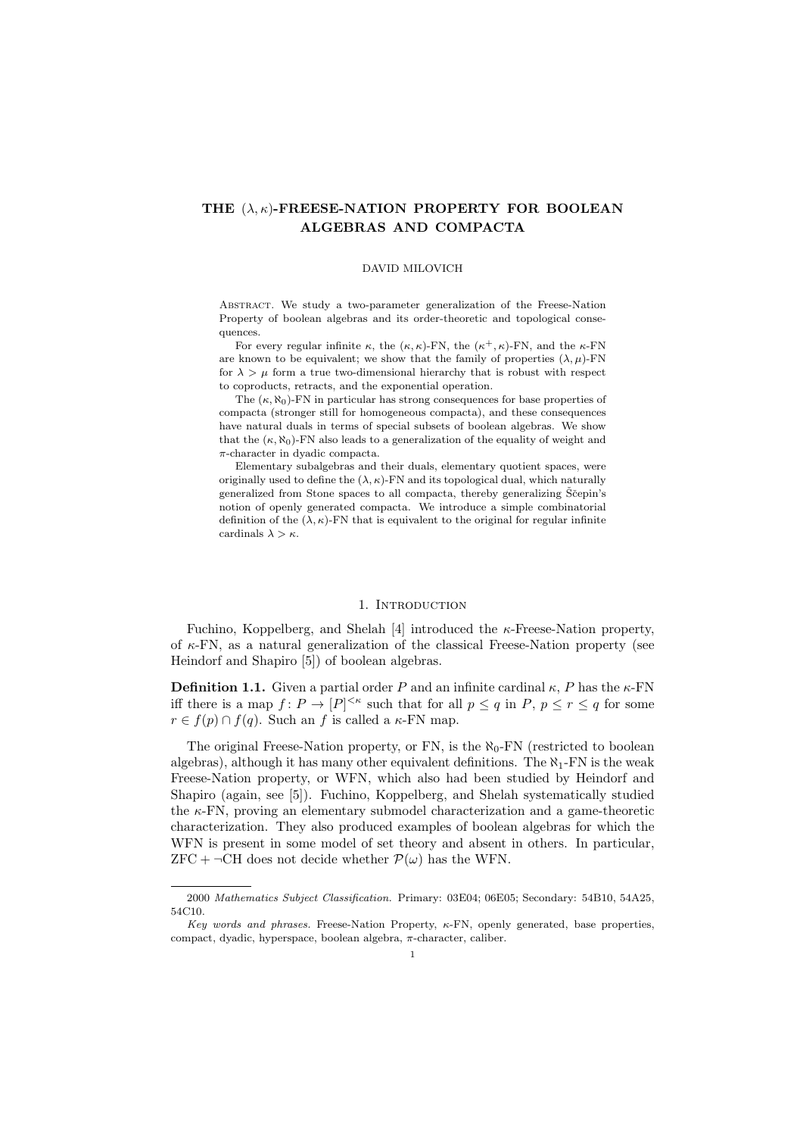# THE  $(\lambda, \kappa)$ -FREESE-NATION PROPERTY FOR BOOLEAN ALGEBRAS AND COMPACTA

#### DAVID MILOVICH

Abstract. We study a two-parameter generalization of the Freese-Nation Property of boolean algebras and its order-theoretic and topological consequences.

For every regular infinite  $\kappa$ , the  $(\kappa, \kappa)$ -FN, the  $(\kappa^+, \kappa)$ -FN, and the  $\kappa$ -FN are known to be equivalent; we show that the family of properties  $(\lambda, \mu)$ -FN for  $\lambda > \mu$  form a true two-dimensional hierarchy that is robust with respect to coproducts, retracts, and the exponential operation.

The  $(\kappa, \aleph_0)$ -FN in particular has strong consequences for base properties of compacta (stronger still for homogeneous compacta), and these consequences have natural duals in terms of special subsets of boolean algebras. We show that the  $(\kappa, \aleph_0)$ -FN also leads to a generalization of the equality of weight and π-character in dyadic compacta.

Elementary subalgebras and their duals, elementary quotient spaces, were originally used to define the  $(\lambda, \kappa)$ -FN and its topological dual, which naturally generalized from Stone spaces to all compacta, thereby generalizing Ščepin's notion of openly generated compacta. We introduce a simple combinatorial definition of the  $(\lambda, \kappa)\text{-}\mathit{FN}$  that is equivalent to the original for regular infinite cardinals  $\lambda > \kappa$ .

#### 1. INTRODUCTION

Fuchino, Koppelberg, and Shelah [4] introduced the κ-Freese-Nation property, of  $\kappa$ -FN, as a natural generalization of the classical Freese-Nation property (see Heindorf and Shapiro [5]) of boolean algebras.

**Definition 1.1.** Given a partial order P and an infinite cardinal  $\kappa$ , P has the  $\kappa$ -FN iff there is a map  $f: P \to [P]^{<\kappa}$  such that for all  $p \leq q$  in  $P, p \leq r \leq q$  for some  $r \in f(p) \cap f(q)$ . Such an f is called a  $\kappa$ -FN map.

The original Freese-Nation property, or FN, is the  $\aleph_0$ -FN (restricted to boolean algebras), although it has many other equivalent definitions. The  $\aleph_1$ -FN is the weak Freese-Nation property, or WFN, which also had been studied by Heindorf and Shapiro (again, see [5]). Fuchino, Koppelberg, and Shelah systematically studied the  $\kappa$ -FN, proving an elementary submodel characterization and a game-theoretic characterization. They also produced examples of boolean algebras for which the WFN is present in some model of set theory and absent in others. In particular, ZFC +  $\neg$ CH does not decide whether  $\mathcal{P}(\omega)$  has the WFN.

<sup>2000</sup> Mathematics Subject Classification. Primary: 03E04; 06E05; Secondary: 54B10, 54A25, 54C10.

Key words and phrases. Freese-Nation Property,  $\kappa$ -FN, openly generated, base properties, compact, dyadic, hyperspace, boolean algebra, π-character, caliber.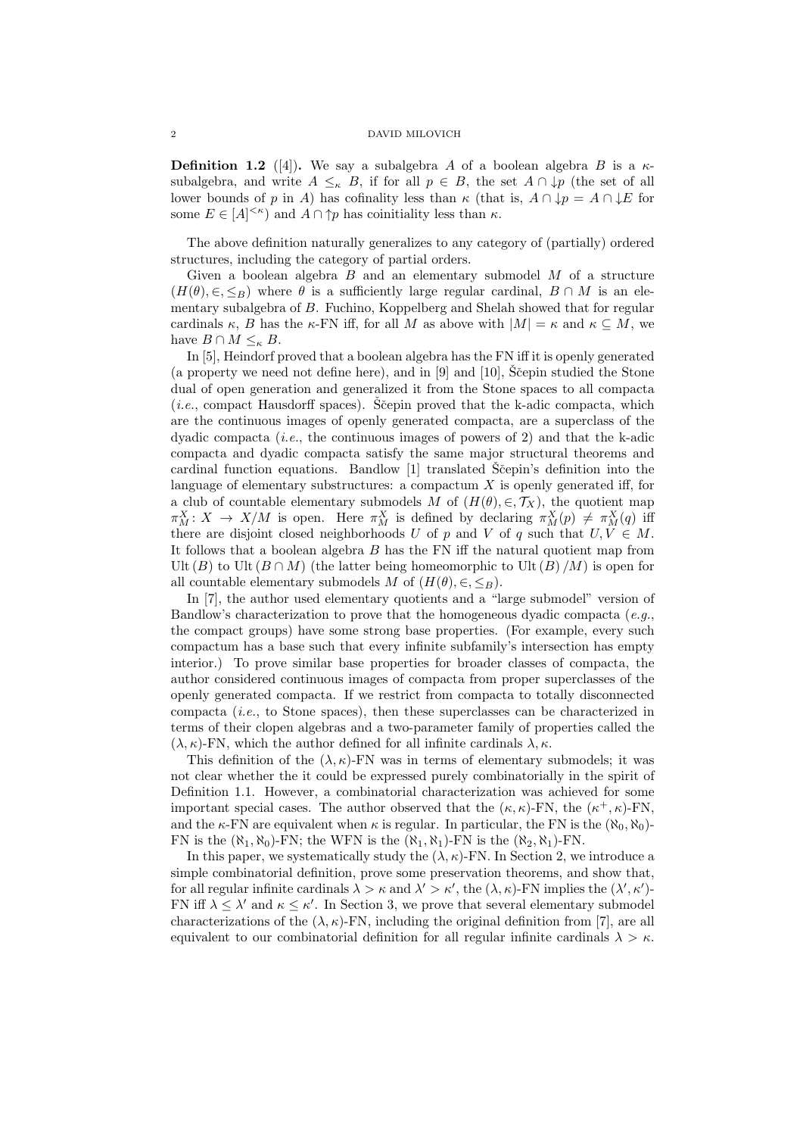**Definition 1.2** ([4]). We say a subalgebra A of a boolean algebra B is a  $\kappa$ subalgebra, and write  $A \leq_{\kappa} B$ , if for all  $p \in B$ , the set  $A \cap \downarrow p$  (the set of all lower bounds of p in A) has cofinality less than  $\kappa$  (that is,  $A \cap \downarrow p = A \cap \downarrow E$  for some  $E \in [A]^{<\kappa}$  and  $A \cap \uparrow p$  has coinitiality less than  $\kappa$ .

The above definition naturally generalizes to any category of (partially) ordered structures, including the category of partial orders.

Given a boolean algebra  $B$  and an elementary submodel  $M$  of a structure  $(H(\theta), \in, \leq_B)$  where  $\theta$  is a sufficiently large regular cardinal,  $B \cap M$  is an elementary subalgebra of B. Fuchino, Koppelberg and Shelah showed that for regular cardinals  $\kappa$ , B has the  $\kappa$ -FN iff, for all M as above with  $|M| = \kappa$  and  $\kappa \subseteq M$ , we have  $B \cap M \leq_{\kappa} B$ .

In [5], Heindorf proved that a boolean algebra has the FN iff it is openly generated (a property we need not define here), and in  $[9]$  and  $[10]$ , Scepin studied the Stone dual of open generation and generalized it from the Stone spaces to all compacta (*i.e.*, compact Hausdorff spaces). Ščepin proved that the k-adic compacta, which are the continuous images of openly generated compacta, are a superclass of the dyadic compacta (*i.e.*, the continuous images of powers of 2) and that the k-adic compacta and dyadic compacta satisfy the same major structural theorems and cardinal function equations. Bandlow  $[1]$  translated S<sup> $\check{c}$ </sup>epin's definition into the language of elementary substructures: a compactum  $X$  is openly generated iff, for a club of countable elementary submodels M of  $(H(\theta), \in, \mathcal{T}_X)$ , the quotient map  $\pi_M^X\colon X\to X/M$  is open. Here  $\pi_M^X$  is defined by declaring  $\pi_M^X(p)\neq \pi_M^X(q)$  iff there are disjoint closed neighborhoods U of p and V of q such that  $U, V \in M$ . It follows that a boolean algebra  $B$  has the FN iff the natural quotient map from Ult  $(B)$  to Ult  $(B \cap M)$  (the latter being homeomorphic to Ult  $(B)/M$ ) is open for all countable elementary submodels M of  $(H(\theta), \in, \leq_B)$ .

In [7], the author used elementary quotients and a "large submodel" version of Bandlow's characterization to prove that the homogeneous dyadic compacta (e.g., the compact groups) have some strong base properties. (For example, every such compactum has a base such that every infinite subfamily's intersection has empty interior.) To prove similar base properties for broader classes of compacta, the author considered continuous images of compacta from proper superclasses of the openly generated compacta. If we restrict from compacta to totally disconnected compacta (i.e., to Stone spaces), then these superclasses can be characterized in terms of their clopen algebras and a two-parameter family of properties called the  $(\lambda, \kappa)$ -FN, which the author defined for all infinite cardinals  $\lambda, \kappa$ .

This definition of the  $(\lambda, \kappa)$ -FN was in terms of elementary submodels; it was not clear whether the it could be expressed purely combinatorially in the spirit of Definition 1.1. However, a combinatorial characterization was achieved for some important special cases. The author observed that the  $(\kappa, \kappa)$ -FN, the  $(\kappa^+, \kappa)$ -FN, and the  $\kappa$ -FN are equivalent when  $\kappa$  is regular. In particular, the FN is the  $(\aleph_0, \aleph_0)$ -FN is the  $(\aleph_1, \aleph_0)$ -FN; the WFN is the  $(\aleph_1, \aleph_1)$ -FN is the  $(\aleph_2, \aleph_1)$ -FN.

In this paper, we systematically study the  $(\lambda, \kappa)$ -FN. In Section 2, we introduce a simple combinatorial definition, prove some preservation theorems, and show that, for all regular infinite cardinals  $\lambda > \kappa$  and  $\lambda' > \kappa'$ , the  $(\lambda, \kappa)$ -FN implies the  $(\lambda', \kappa')$ -FN iff  $\lambda \leq \lambda'$  and  $\kappa \leq \kappa'$ . In Section 3, we prove that several elementary submodel characterizations of the  $(\lambda, \kappa)$ -FN, including the original definition from [7], are all equivalent to our combinatorial definition for all regular infinite cardinals  $\lambda > \kappa$ .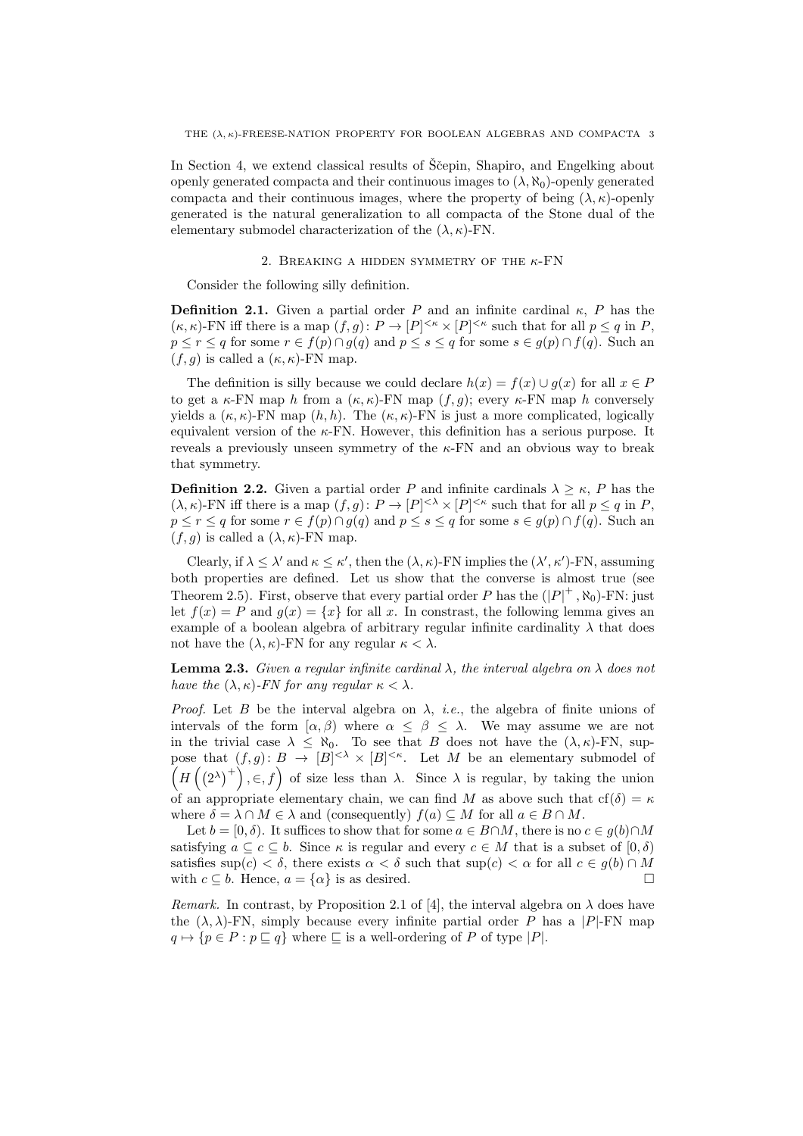In Section 4, we extend classical results of Scepin, Shapiro, and Engelking about openly generated compacta and their continuous images to  $(\lambda, \aleph_0)$ -openly generated compacta and their continuous images, where the property of being  $(\lambda, \kappa)$ -openly generated is the natural generalization to all compacta of the Stone dual of the elementary submodel characterization of the  $(\lambda, \kappa)$ -FN.

#### 2. BREAKING A HIDDEN SYMMETRY OF THE  $\kappa$ -FN

Consider the following silly definition.

**Definition 2.1.** Given a partial order P and an infinite cardinal  $\kappa$ , P has the  $(\kappa, \kappa)$ -FN iff there is a map  $(f, g): P \to [P]^{<\kappa} \times [P]^{<\kappa}$  such that for all  $p \leq q$  in P,  $p \le r \le q$  for some  $r \in f(p) \cap g(q)$  and  $p \le s \le q$  for some  $s \in g(p) \cap f(q)$ . Such an  $(f, g)$  is called a  $(\kappa, \kappa)$ -FN map.

The definition is silly because we could declare  $h(x) = f(x) \cup g(x)$  for all  $x \in P$ to get a  $\kappa$ -FN map h from a  $(\kappa, \kappa)$ -FN map  $(f, g)$ ; every  $\kappa$ -FN map h conversely yields a  $(\kappa, \kappa)$ -FN map  $(h, h)$ . The  $(\kappa, \kappa)$ -FN is just a more complicated, logically equivalent version of the  $\kappa$ -FN. However, this definition has a serious purpose. It reveals a previously unseen symmetry of the  $\kappa$ -FN and an obvious way to break that symmetry.

**Definition 2.2.** Given a partial order P and infinite cardinals  $\lambda \geq \kappa$ , P has the  $(\lambda, \kappa)$ -FN iff there is a map  $(f, g): P \to [P]^{<\lambda} \times [P]^{<\kappa}$  such that for all  $p \leq q$  in P,  $p \leq r \leq q$  for some  $r \in f(p) \cap g(q)$  and  $p \leq s \leq q$  for some  $s \in g(p) \cap f(q)$ . Such an  $(f, q)$  is called a  $(\lambda, \kappa)$ -FN map.

Clearly, if  $\lambda \leq \lambda'$  and  $\kappa \leq \kappa'$ , then the  $(\lambda, \kappa)$ -FN implies the  $(\lambda', \kappa')$ -FN, assuming both properties are defined. Let us show that the converse is almost true (see Theorem 2.5). First, observe that every partial order P has the  $(|P|^+$ ,  $\aleph_0$ )-FN: just let  $f(x) = P$  and  $g(x) = \{x\}$  for all x. In constrast, the following lemma gives an example of a boolean algebra of arbitrary regular infinite cardinality  $\lambda$  that does not have the  $(\lambda, \kappa)$ -FN for any regular  $\kappa < \lambda$ .

**Lemma 2.3.** Given a regular infinite cardinal  $\lambda$ , the interval algebra on  $\lambda$  does not have the  $(\lambda, \kappa)$ -FN for any regular  $\kappa < \lambda$ .

Proof. Let B be the interval algebra on  $\lambda$ , *i.e.*, the algebra of finite unions of intervals of the form  $[\alpha, \beta)$  where  $\alpha \leq \beta \leq \lambda$ . We may assume we are not in the trivial case  $\lambda \leq \aleph_0$ . To see that B does not have the  $(\lambda, \kappa)$ -FN, suppose that  $(f,g): B \to [B]^{<\lambda} \times [B]^{<\kappa}$ . Let M be an elementary submodel of  $(H((2^{\lambda})^+), \in, f)$  of size less than  $\lambda$ . Since  $\lambda$  is regular, by taking the union of an appropriate elementary chain, we can find M as above such that  $cf(\delta) = \kappa$ where  $\delta = \lambda \cap M \in \lambda$  and (consequently)  $f(a) \subseteq M$  for all  $a \in B \cap M$ .

Let  $b = [0, \delta)$ . It suffices to show that for some  $a \in B \cap M$ , there is no  $c \in g(b) \cap M$ satisfying  $a \subseteq c \subseteq b$ . Since  $\kappa$  is regular and every  $c \in M$  that is a subset of  $[0, \delta)$ satisfies sup(c) <  $\delta$ , there exists  $\alpha < \delta$  such that sup(c)  $< \alpha$  for all  $c \in g(b) \cap M$ with  $c \subseteq b$ . Hence,  $a = \{\alpha\}$  is as desired.

Remark. In contrast, by Proposition 2.1 of [4], the interval algebra on  $\lambda$  does have the  $(\lambda, \lambda)$ -FN, simply because every infinite partial order P has a |P|-FN map  $q \mapsto \{p \in P : p \sqsubseteq q\}$  where  $\sqsubseteq$  is a well-ordering of P of type  $|P|$ .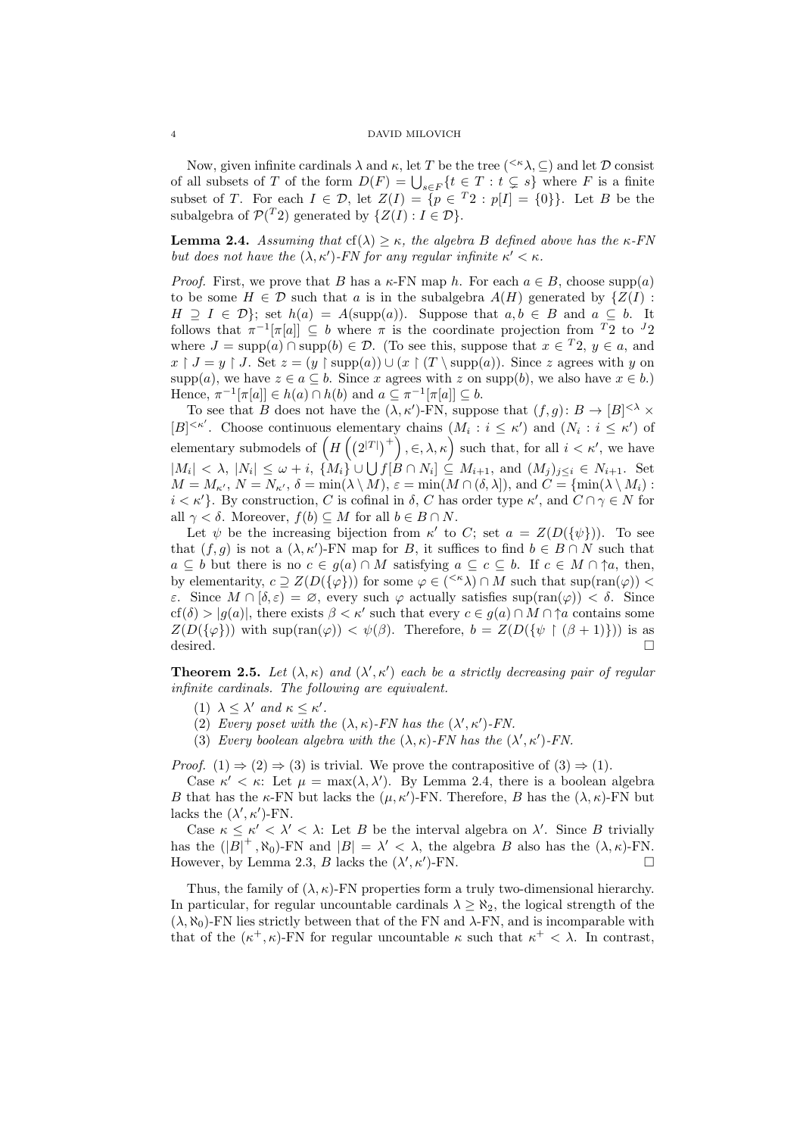Now, given infinite cardinals  $\lambda$  and  $\kappa$ , let T be the tree ( $\leq \kappa \lambda$ ,  $\subseteq$ ) and let D consist of all subsets of T of the form  $D(F) = \bigcup_{s \in F} \{t \in T : t \subsetneq s\}$  where F is a finite subset of T. For each  $I \in \mathcal{D}$ , let  $Z(I) = \{p \in {}^{T}2 : p[I] = {0}\}\$ . Let B be the subalgebra of  $\mathcal{P}(^T2)$  generated by  $\{Z(I): I \in \mathcal{D}\}.$ 

**Lemma 2.4.** Assuming that cf( $\lambda$ )  $\geq \kappa$ , the algebra B defined above has the  $\kappa$ -FN but does not have the  $(\lambda, \kappa')$ -FN for any regular infinite  $\kappa' < \kappa$ .

*Proof.* First, we prove that B has a  $\kappa$ -FN map h. For each  $a \in B$ , choose supp(a) to be some  $H \in \mathcal{D}$  such that a is in the subalgebra  $A(H)$  generated by  $\{Z(I):$  $H \supseteq I \in \mathcal{D}$ ; set  $h(a) = A(\text{supp}(a))$ . Suppose that  $a, b \in B$  and  $a \subseteq b$ . It follows that  $\pi^{-1}[\pi[a]] \subseteq b$  where  $\pi$  is the coordinate projection from  $T_2$  to  $J_2$ where  $J = \text{supp}(a) \cap \text{supp}(b) \in \mathcal{D}$ . (To see this, suppose that  $x \in {}^{T}2$ ,  $y \in a$ , and  $x \restriction J = y \restriction J$ . Set  $z = (y \restriction \text{supp}(a)) \cup (x \restriction (T \setminus \text{supp}(a))$ . Since z agrees with y on  $\text{supp}(a)$ , we have  $z \in a \subseteq b$ . Since x agrees with z on supp $(b)$ , we also have  $x \in b$ .) Hence,  $\pi^{-1}[\pi[a]] \in h(a) \cap h(b)$  and  $a \subseteq \pi^{-1}[\pi[a]] \subseteq b$ .

To see that B does not have the  $(\lambda, \kappa')$ -FN, suppose that  $(f, g) : B \to [B]^{<\lambda} \times$  $[B]^{<\kappa'}$ . Choose continuous elementary chains  $(M_i : i \leq \kappa')$  and  $(N_i : i \leq \kappa')$  of elementary submodels of  $(H((2^{|T|})^+), \in, \lambda, \kappa)$  such that, for all  $i < \kappa'$ , we have  $|M_i| < \lambda$ ,  $|N_i| \leq \omega + i$ ,  $\{M_i\} \cup \bigcup f[B \cap N_i] \subseteq M_{i+1}$ , and  $(M_j)_{j \leq i} \in N_{i+1}$ . Set  $M = M_{\kappa}$ ,  $N = N_{\kappa}$ ,  $\delta = \min(\lambda \setminus M)$ ,  $\varepsilon = \min(M \cap (\delta, \lambda))$ , and  $C = \{\min(\lambda \setminus M_i)$ :  $i < \kappa'$ . By construction, C is cofinal in  $\delta$ , C has order type  $\kappa'$ , and  $C \cap \gamma \in N$  for all  $\gamma < \delta$ . Moreover,  $f(b) \subseteq M$  for all  $b \in B \cap N$ .

Let  $\psi$  be the increasing bijection from  $\kappa'$  to C; set  $a = Z(D({\psi}))$ . To see that  $(f, g)$  is not a  $(\lambda, \kappa')$ -FN map for B, it suffices to find  $b \in B \cap N$  such that  $a \subseteq b$  but there is no  $c \in g(a) \cap M$  satisfying  $a \subseteq c \subseteq b$ . If  $c \in M \cap \uparrow a$ , then, by elementarity,  $c \supseteq Z(D({\varphi}))$  for some  $\varphi \in {<^{\kappa}\lambda} \cap M$  such that  $\sup(\operatorname{ran}(\varphi))$ ε. Since  $M ∩ [δ, ε) = ∅$ , every such  $φ$  actually satisfies sup(ran( $φ$ )) < δ. Since  $cf(\delta) > |g(a)|$ , there exists  $\beta < \kappa'$  such that every  $c \in g(a) \cap M \cap \uparrow a$  contains some  $Z(D({\varphi}))$  with sup(ran( $\varphi$ )) <  $\psi(\beta)$ . Therefore,  $b = Z(D({\psi \upharpoonright (\beta + 1)}))$  is as desired.  $\Box$ 

**Theorem 2.5.** Let  $(\lambda, \kappa)$  and  $(\lambda', \kappa')$  each be a strictly decreasing pair of regular infinite cardinals. The following are equivalent.

- (1)  $\lambda \leq \lambda'$  and  $\kappa \leq \kappa'$ .
- (2) Every poset with the  $(\lambda, \kappa)$ -FN has the  $(\lambda', \kappa')$ -FN.
- (3) Every boolean algebra with the  $(\lambda, \kappa)$ -FN has the  $(\lambda', \kappa')$ -FN.

*Proof.* (1)  $\Rightarrow$  (2)  $\Rightarrow$  (3) is trivial. We prove the contrapositive of (3)  $\Rightarrow$  (1).

Case  $\kappa' < \kappa$ : Let  $\mu = \max(\lambda, \lambda')$ . By Lemma 2.4, there is a boolean algebra B that has the  $\kappa$ -FN but lacks the  $(\mu, \kappa')$ -FN. Therefore, B has the  $(\lambda, \kappa)$ -FN but lacks the  $(\lambda', \kappa')$ -FN.

Case  $\kappa \leq \kappa' < \lambda' < \lambda$ : Let B be the interval algebra on  $\lambda'$ . Since B trivially has the  $(|B|^+, \aleph_0)$ -FN and  $|B| = \lambda' < \lambda$ , the algebra B also has the  $(\lambda, \kappa)$ -FN. However, by Lemma 2.3, B lacks the  $(\lambda', \kappa')$ -FN.

Thus, the family of  $(\lambda, \kappa)$ -FN properties form a truly two-dimensional hierarchy. In particular, for regular uncountable cardinals  $\lambda \geq \aleph_2$ , the logical strength of the  $(\lambda, \aleph_0)$ -FN lies strictly between that of the FN and  $\lambda$ -FN, and is incomparable with that of the  $(\kappa^+, \kappa)$ -FN for regular uncountable  $\kappa$  such that  $\kappa^+ < \lambda$ . In contrast,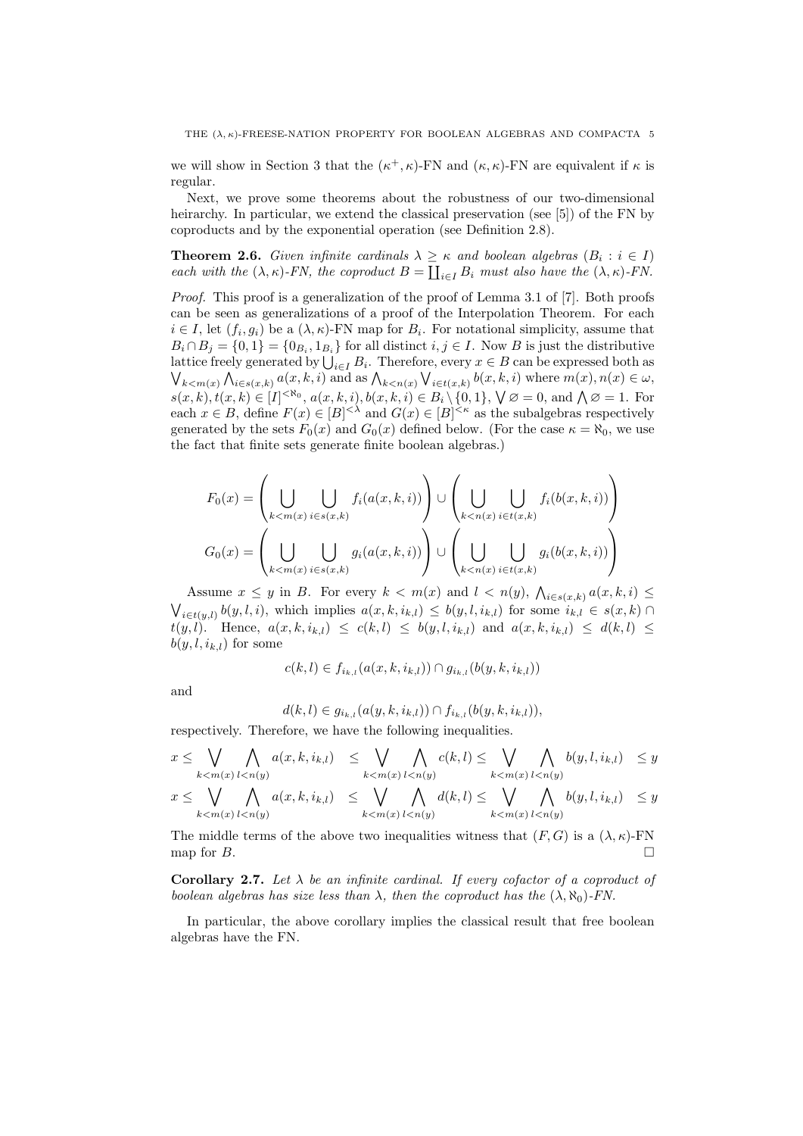we will show in Section 3 that the  $(\kappa^+, \kappa)$ -FN and  $(\kappa, \kappa)$ -FN are equivalent if  $\kappa$  is regular.

Next, we prove some theorems about the robustness of our two-dimensional heirarchy. In particular, we extend the classical preservation (see [5]) of the FN by coproducts and by the exponential operation (see Definition 2.8).

**Theorem 2.6.** Given infinite cardinals  $\lambda \geq \kappa$  and boolean algebras  $(B_i : i \in I)$ each with the  $(\lambda, \kappa)$ -FN, the coproduct  $B = \coprod_{i \in I} B_i$  must also have the  $(\lambda, \kappa)$ -FN.

Proof. This proof is a generalization of the proof of Lemma 3.1 of [7]. Both proofs can be seen as generalizations of a proof of the Interpolation Theorem. For each  $i \in I$ , let  $(f_i, g_i)$  be a  $(\lambda, \kappa)$ -FN map for  $B_i$ . For notational simplicity, assume that  $B_i \cap B_j = \{0,1\} = \{0_{B_i}, 1_{B_i}\}\$  for all distinct  $i, j \in I$ . Now B is just the distributive lattice freely generated by  $\bigcup_{i\in I} B_i$ . Therefore, every  $x\in B$  can be expressed both as  $\bigvee_{k \leq m(x)} \bigwedge_{i \in s(x,k)} a(x,k,i)$  and as  $\bigwedge_{k \leq n(x)} \bigvee_{i \in t(x,k)} b(x,k,i)$  where  $m(x), n(x) \in \omega$ ,  $s(x, k), t(x, k) \in [I]^{< \aleph_0}, a(x, k, i), b(x, k, i) \in B_i \setminus \{0, 1\}, \forall \emptyset = 0, \text{ and } \bigwedge \emptyset = 1.$  For each  $x \in B$ , define  $F(x) \in |B|^{< \lambda}$  and  $G(x) \in |B|^{< \kappa}$  as the subalgebras respectively generated by the sets  $F_0(x)$  and  $G_0(x)$  defined below. (For the case  $\kappa = \aleph_0$ , we use the fact that finite sets generate finite boolean algebras.)

$$
F_0(x) = \left(\bigcup_{k < m(x)} \bigcup_{i \in s(x,k)} f_i(a(x,k,i))\right) \cup \left(\bigcup_{k < n(x)} \bigcup_{i \in t(x,k)} f_i(b(x,k,i))\right)
$$
\n
$$
G_0(x) = \left(\bigcup_{k < m(x)} \bigcup_{i \in s(x,k)} g_i(a(x,k,i))\right) \cup \left(\bigcup_{k < n(x)} \bigcup_{i \in t(x,k)} g_i(b(x,k,i))\right)
$$

Assume  $x \leq y$  in B. For every  $k < m(x)$  and  $l < n(y)$ ,  $\bigwedge_{i \in s(x,k)} a(x,k,i) \leq$  $\bigvee_{i \in t(y,l)} b(y,l,i)$ , which implies  $a(x,k,i_{k,l}) \leq b(y,l,i_{k,l})$  for some  $i_{k,l} \in s(x,k)$  $t(y, l)$ . Hence,  $a(x, k, i_{k,l}) \leq c(k, l) \leq b(y, l, i_{k,l})$  and  $a(x, k, i_{k,l}) \leq d(k, l) \leq$  $b(y, l, i_{k,l})$  for some

$$
c(k, l) \in f_{i_{k,l}}(a(x, k, i_{k,l})) \cap g_{i_{k,l}}(b(y, k, i_{k,l}))
$$

and

$$
d(k,l) \in g_{i_{k,l}}(a(y,k,i_{k,l})) \cap f_{i_{k,l}}(b(y,k,i_{k,l})),
$$

respectively. Therefore, we have the following inequalities.

$$
x \leq \bigvee_{k < m(x)} \bigwedge_{l < n(y)} a(x, k, i_{k,l}) \leq \bigvee_{k < m(x)} \bigwedge_{l < n(y)} c(k, l) \leq \bigvee_{k < m(x)} \bigwedge_{l < n(y)} b(y, l, i_{k,l}) \leq y
$$

$$
x \leq \bigvee_{k < m(x)} \bigwedge_{l < n(y)} a(x, k, i_{k,l}) \leq \bigvee_{k < m(x)} \bigwedge_{l < n(y)} d(k, l) \leq \bigvee_{k < m(x)} \bigwedge_{l < n(y)} b(y, l, i_{k,l}) \leq y
$$

The middle terms of the above two inequalities witness that  $(F, G)$  is a  $(\lambda, \kappa)$ -FN map for  $B$ .

Corollary 2.7. Let  $\lambda$  be an infinite cardinal. If every cofactor of a coproduct of boolean algebras has size less than  $\lambda$ , then the coproduct has the  $(\lambda, \aleph_0)$ -FN.

In particular, the above corollary implies the classical result that free boolean algebras have the FN.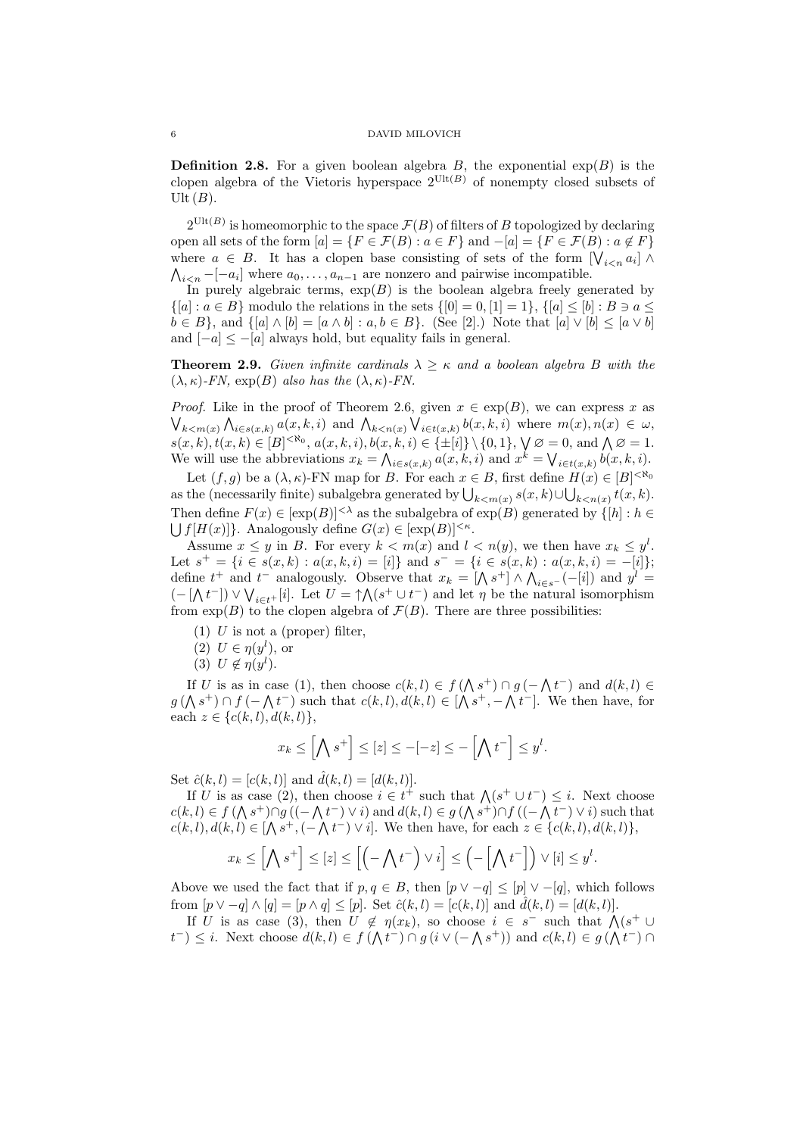**Definition 2.8.** For a given boolean algebra B, the exponential  $exp(B)$  is the clopen algebra of the Vietoris hyperspace  $2^{\text{Ult}(B)}$  of nonempty closed subsets of  $Ult(B).$ 

 $2^{\text{Ult}(B)}$  is homeomorphic to the space  $\mathcal{F}(B)$  of filters of B topologized by declaring open all sets of the form  $[a] = \{F \in \mathcal{F}(B) : a \in F\}$  and  $-[a] = \{F \in \mathcal{F}(B) : a \notin F\}$ where  $a \in B$ . It has a clopen base consisting of sets of the form  $[\bigvee_{i \leq n} a_i] \wedge$  $\bigwedge_{i \leq n} -[-a_i]$  where  $a_0, \ldots, a_{n-1}$  are nonzero and pairwise incompatible.

In purely algebraic terms,  $\exp(B)$  is the boolean algebra freely generated by  $\{[a] : a \in B\}$  modulo the relations in the sets  $\{[0] = 0, [1] = 1\}$ ,  $\{[a] \leq [b] : B \ni a \leq a\}$  $b \in B$ , and  $\{[a] \wedge [b] = [a \wedge b] : a, b \in B\}$ . (See [2].) Note that  $[a] \vee [b] \leq [a \vee b]$ and  $[-a] \leq -[a]$  always hold, but equality fails in general.

**Theorem 2.9.** Given infinite cardinals  $\lambda \geq \kappa$  and a boolean algebra B with the  $(\lambda, \kappa)$ -FN, exp $(B)$  also has the  $(\lambda, \kappa)$ -FN.

*Proof.* Like in the proof of Theorem 2.6, given  $x \in \exp(B)$ , we can express x as  $\bigvee_{k \leq m(x)} \bigwedge_{i \in s(x,k)} a(x,k,i)$  and  $\bigwedge_{k \leq n(x)} \bigvee_{i \in t(x,k)} b(x,k,i)$  where  $m(x), n(x) \in \omega$ ,  $s(x, k), t(x, k) \in [B]^{< \aleph_0}, a(x, k, i), b(x, k, i) \in \{\pm[i]\} \setminus \{0, 1\}, \forall \emptyset = 0, \text{ and } \bigwedge \emptyset = 1.$ We will use the abbreviations  $x_k = \bigwedge_{i \in s(x,k)} a(x,k,i)$  and  $x^k = \bigvee_{i \in t(x,k)} b(x,k,i)$ .

Let  $(f, g)$  be a  $(\lambda, \kappa)$ -FN map for B. For each  $x \in B$ , first define  $H(x) \in [B]^{< \aleph_0}$ as the (necessarily finite) subalgebra generated by  $\bigcup_{k < m(x)} s(x, k) \cup \bigcup_{k < n(x)} t(x, k)$ . Then define  $F(x) \in [\exp(B)]^{<\lambda}$  as the subalgebra of  $\exp(B)$  generated by  $\{[h]: h \in$  $\bigcup f[H(x)]\}.$  Analogously define  $G(x) \in [\exp(B)]^{<\kappa}.$ 

Assume  $x \leq y$  in B. For every  $k < m(x)$  and  $l < n(y)$ , we then have  $x_k \leq y^l$ . Let  $s^+ = \{i \in s(x,k) : a(x,k,i) = [i]\}\$  and  $s^- = \{i \in s(x,k) : a(x,k,i) = -[i]\}\;$ define  $t^+$  and  $t^-$  analogously. Observe that  $x_k = [\Lambda s^+] \wedge \Lambda_{i \in s^-}(-[i])$  and  $y^l =$  $(-\lceil \bigwedge t^{-} \rceil) \vee \bigvee_{i \in t^{+}} [i]$ . Let  $U = \uparrow \bigwedge (s^{+} \cup t^{-})$  and let  $\eta$  be the natural isomorphism from  $\exp(B)$  to the clopen algebra of  $\mathcal{F}(B)$ . There are three possibilities:

- (1) U is not a (proper) filter,
- (2)  $U \in \eta(y^l)$ , or
- (3)  $U \notin \eta(y^l)$ .

If U is as in case (1), then choose  $c(k, l) \in f(\Lambda s^+) \cap g(-\Lambda t^-)$  and  $d(k, l) \in$  $g(\Lambda s^+) \cap f(-\Lambda t^-)$  such that  $c(k, l), d(k, l) \in [\Lambda s^+, -\Lambda t^-]$ . We then have, for each  $z \in \{c(k, l), d(k, l)\},\$ 

$$
x_k \le \left[\bigwedge s^+\right] \le [z] \le -[-z] \le -\left[\bigwedge t^-\right] \le y^l.
$$

Set  $\hat{c}(k, l) = [c(k, l)]$  and  $\hat{d}(k, l) = [d(k, l)].$ 

If U is as case (2), then choose  $i \in t^+$  such that  $\bigwedge (s^+ \cup t^-) \leq i$ . Next choose  $c(k, l) \in f(\Lambda s^+) \cap g((-\Lambda t^-) \vee i)$  and  $d(k, l) \in g(\Lambda s^+) \cap f((-\Lambda t^-) \vee i)$  such that  $c(k, l), d(k, l) \in [\bigwedge s^+, (-\bigwedge t^-) \vee i].$  We then have, for each  $z \in \{c(k, l), d(k, l)\},$ 

$$
x_k \leq \left[\bigwedge s^+\right] \leq [z] \leq \left[\left(-\bigwedge t^-\right) \vee i\right] \leq \left(-\left[\bigwedge t^-\right]\right) \vee [i] \leq y^l.
$$

Above we used the fact that if  $p, q \in B$ , then  $|p \vee -q| \leq |p| \vee -|q|$ , which follows from  $[p \vee -q] \wedge [q] = [p \wedge q] \leq [p]$ . Set  $\hat{c}(k, l) = [c(k, l)]$  and  $\hat{d}(k, l) = [d(k, l)]$ .

If U is as case (3), then  $U \notin \eta(x_k)$ , so choose  $i \in s^-$  such that  $\bigwedge (s^+ \cup$  $t^{-}$ )  $\leq i$ . Next choose  $d(k, l) \in f(\Lambda t^{-}) \cap g(i \vee (-\Lambda s^{+}))$  and  $c(k, l) \in g(\Lambda t^{-}) \cap g(i \vee l)$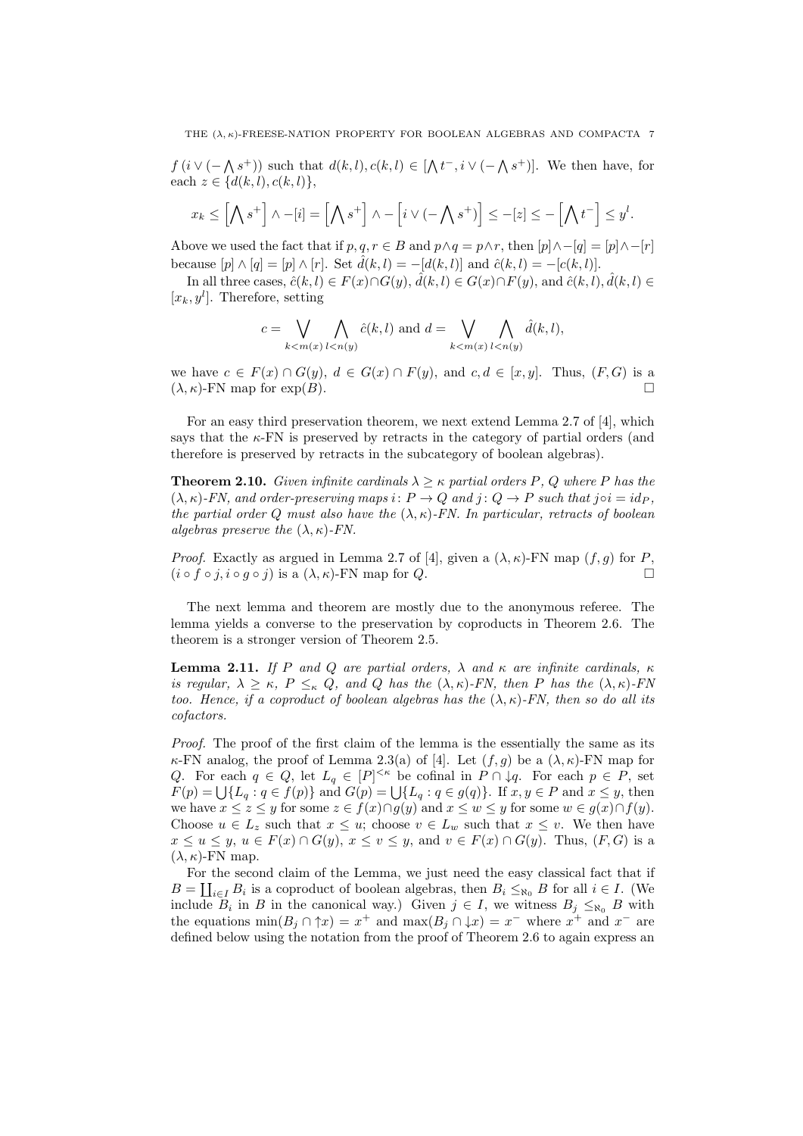THE  $(\lambda, \kappa)$ -FREESE-NATION PROPERTY FOR BOOLEAN ALGEBRAS AND COMPACTA 7

 $f(i \vee (-\wedge s^+))$  such that  $d(k, l), c(k, l) \in [\wedge t^-, i \vee (-\wedge s^+)]$ . We then have, for each  $z \in \{d(k, l), c(k, l)\},\$ 

$$
x_k \leq \left[\bigwedge s^+\right] \wedge -[i] = \left[\bigwedge s^+\right] \wedge -\left[i \vee (-\bigwedge s^+)\right] \leq -[z] \leq -\left[\bigwedge t^-\right] \leq y^l.
$$

Above we used the fact that if  $p, q, r \in B$  and  $p \wedge q = p \wedge r$ , then  $[p] \wedge -[q] = [p] \wedge -[r]$ because  $[p] \wedge [q] = [p] \wedge [r]$ . Set  $\hat{d}(k, l) = -[d(k, l)]$  and  $\hat{c}(k, l) = -[c(k, l)]$ .

In all three cases,  $\hat{c}(k, l) \in F(x) \cap G(y)$ ,  $\hat{d}(k, l) \in G(x) \cap F(y)$ , and  $\hat{c}(k, l)$ ,  $\hat{d}(k, l) \in$  $[x_k, y^l]$ . Therefore, setting

$$
c = \bigvee_{k < m(x)} \bigwedge_{l < n(y)} \hat{c}(k, l) \text{ and } d = \bigvee_{k < m(x)} \bigwedge_{l < n(y)} \hat{d}(k, l),
$$

we have  $c \in F(x) \cap G(y)$ ,  $d \in G(x) \cap F(y)$ , and  $c, d \in [x, y]$ . Thus,  $(F, G)$  is a  $(\lambda, \kappa)$ -FN map for exp $(B)$ .

For an easy third preservation theorem, we next extend Lemma 2.7 of [4], which says that the  $\kappa$ -FN is preserved by retracts in the category of partial orders (and therefore is preserved by retracts in the subcategory of boolean algebras).

**Theorem 2.10.** Given infinite cardinals  $\lambda > \kappa$  partial orders P, Q where P has the  $(\lambda, \kappa)$ -FN, and order-preserving maps i:  $P \to Q$  and j:  $Q \to P$  such that j $\circ i = id_P$ , the partial order Q must also have the  $(\lambda, \kappa)$ -FN. In particular, retracts of boolean algebras preserve the  $(\lambda, \kappa)$ -FN.

*Proof.* Exactly as argued in Lemma 2.7 of [4], given a  $(\lambda, \kappa)$ -FN map  $(f, g)$  for P,  $(i \circ f \circ j, i \circ g \circ j)$  is a  $(\lambda, \kappa)$ -FN map for Q.

The next lemma and theorem are mostly due to the anonymous referee. The lemma yields a converse to the preservation by coproducts in Theorem 2.6. The theorem is a stronger version of Theorem 2.5.

**Lemma 2.11.** If P and Q are partial orders,  $\lambda$  and  $\kappa$  are infinite cardinals,  $\kappa$ is regular,  $\lambda \geq \kappa$ ,  $P \leq_{\kappa} Q$ , and Q has the  $(\lambda, \kappa)$ -FN, then P has the  $(\lambda, \kappa)$ -FN too. Hence, if a coproduct of boolean algebras has the  $(\lambda, \kappa)$ -FN, then so do all its cofactors.

Proof. The proof of the first claim of the lemma is the essentially the same as its  $\kappa$ -FN analog, the proof of Lemma 2.3(a) of [4]. Let  $(f, g)$  be a  $(\lambda, \kappa)$ -FN map for Q. For each  $q \in Q$ , let  $L_q \in [P]^{<\kappa}$  be cofinal in  $P \cap \downarrow q$ . For each  $p \in P$ , set  $F(p) = \bigcup \{L_q : q \in f(p)\}\$ and  $G(p) = \bigcup \{L_q : q \in g(q)\}\$ . If  $x, y \in P$  and  $x \leq y$ , then we have  $x \leq z \leq y$  for some  $z \in f(x) \cap g(y)$  and  $x \leq w \leq y$  for some  $w \in g(x) \cap f(y)$ . Choose  $u \in L_z$  such that  $x \leq u$ ; choose  $v \in L_w$  such that  $x \leq v$ . We then have  $x \le u \le y$ ,  $u \in F(x) \cap G(y)$ ,  $x \le v \le y$ , and  $v \in F(x) \cap G(y)$ . Thus,  $(F, G)$  is a  $(\lambda, \kappa)$ -FN map.

For the second claim of the Lemma, we just need the easy classical fact that if  $B = \coprod_{i \in I} B_i$  is a coproduct of boolean algebras, then  $B_i \leq_{\aleph_0} B$  for all  $i \in I$ . (We include  $B_i$  in B in the canonical way.) Given  $j \in I$ , we witness  $B_j \leq_{\aleph_0} B$  with the equations  $\min(B_j \cap \uparrow x) = x^+$  and  $\max(B_j \cap \downarrow x) = x^-$  where  $x^+$  and  $x^-$  are defined below using the notation from the proof of Theorem 2.6 to again express an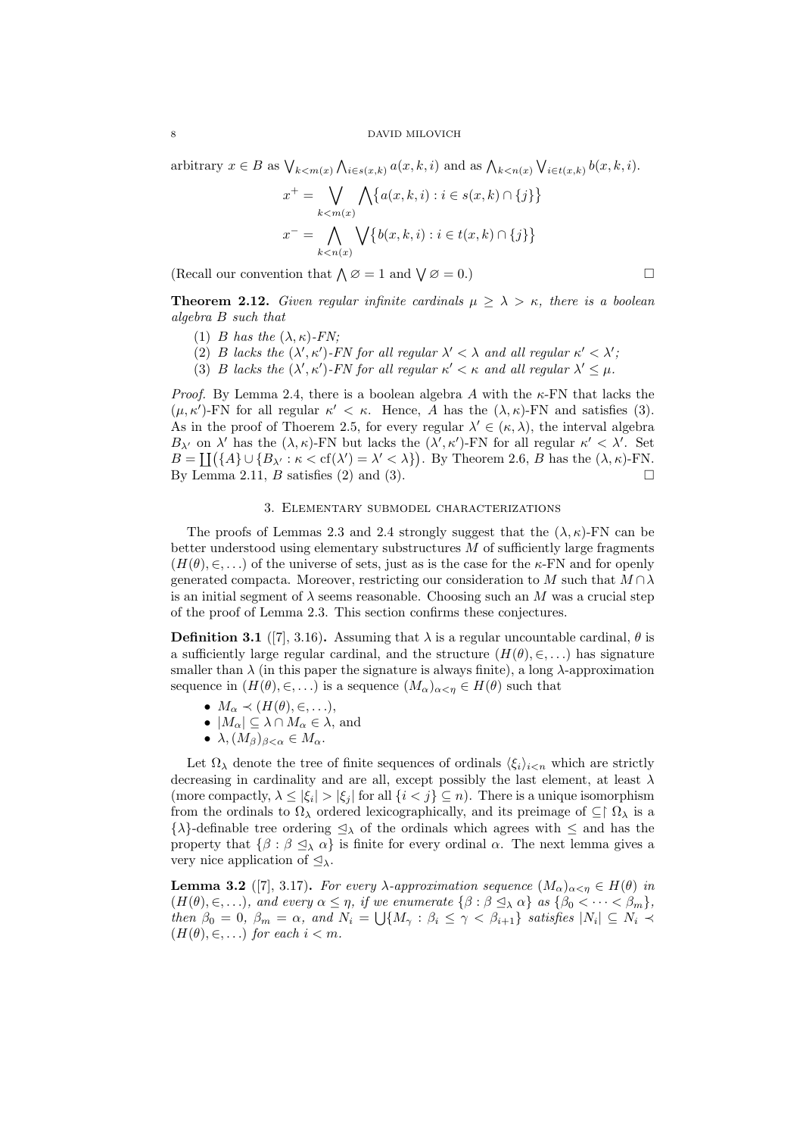arbitrary  $x \in B$  as  $\bigvee_{k \leq m(x)} \bigwedge_{i \in s(x,k)} a(x,k,i)$  and as  $\bigwedge_{k \leq n(x)} \bigvee_{i \in t(x,k)} b(x,k,i)$ .

$$
x^+ = \bigvee_{k < m(x)} \bigwedge \{a(x, k, i) : i \in s(x, k) \cap \{j\}\}
$$
\n
$$
x^- = \bigwedge_{k < n(x)} \bigvee \{b(x, k, i) : i \in t(x, k) \cap \{j\}\}
$$

(Recall our convention that  $\bigwedge \emptyset = 1$  and  $\bigvee \emptyset = 0$ .)

**Theorem 2.12.** Given regular infinite cardinals  $\mu \geq \lambda > \kappa$ , there is a boolean algebra B such that

- (1) B has the  $(\lambda, \kappa)$ -FN:
- (2) B lacks the  $(\lambda', \kappa')$ -FN for all regular  $\lambda' < \lambda$  and all regular  $\kappa' < \lambda'$ ;
- (3) B lacks the  $(\lambda', \kappa')$ -FN for all regular  $\kappa' < \kappa$  and all regular  $\lambda' \leq \mu$ .

*Proof.* By Lemma 2.4, there is a boolean algebra A with the  $\kappa$ -FN that lacks the  $(\mu, \kappa')$ -FN for all regular  $\kappa' < \kappa$ . Hence, A has the  $(\lambda, \kappa)$ -FN and satisfies (3). As in the proof of Thoerem 2.5, for every regular  $\lambda' \in (\kappa, \lambda)$ , the interval algebra  $B_{\lambda'}$  on  $\lambda'$  has the  $(\lambda, \kappa)$ -FN but lacks the  $(\lambda', \kappa')$ -FN for all regular  $\kappa' < \lambda'$ . Set  $B = \coprod (\{A\} \cup \{B_{\lambda'} : \kappa < \text{cf}(\lambda') = \lambda' < \lambda\})$ . By Theorem 2.6, B has the  $(\lambda, \kappa)$ -FN. By Lemma 2.11, B satisfies (2) and (3).

# 3. Elementary submodel characterizations

The proofs of Lemmas 2.3 and 2.4 strongly suggest that the  $(\lambda, \kappa)$ -FN can be better understood using elementary substructures  $M$  of sufficiently large fragments  $(H(\theta), \in, \ldots)$  of the universe of sets, just as is the case for the  $\kappa$ -FN and for openly generated compacta. Moreover, restricting our consideration to M such that  $M \cap \lambda$ is an initial segment of  $\lambda$  seems reasonable. Choosing such an M was a crucial step of the proof of Lemma 2.3. This section confirms these conjectures.

**Definition 3.1** ([7], 3.16). Assuming that  $\lambda$  is a regular uncountable cardinal,  $\theta$  is a sufficiently large regular cardinal, and the structure  $(H(\theta), \in, \ldots)$  has signature smaller than  $\lambda$  (in this paper the signature is always finite), a long  $\lambda$ -approximation sequence in  $(H(\theta), \in, \ldots)$  is a sequence  $(M_{\alpha})_{\alpha < \eta} \in H(\theta)$  such that

- $M_{\alpha} \prec (H(\theta), \in, \ldots),$
- $|M_{\alpha}| \subseteq \lambda \cap M_{\alpha} \in \lambda$ , and
- $\lambda$ ,  $(M_\beta)_{\beta<\alpha}\in M_\alpha$ .

Let  $\Omega_{\lambda}$  denote the tree of finite sequences of ordinals  $\langle \xi_i \rangle_{i \leq n}$  which are strictly decreasing in cardinality and are all, except possibly the last element, at least  $\lambda$ (more compactly,  $\lambda \leq |\xi_i| > |\xi_j|$  for all  $\{i < j\} \subseteq n$ ). There is a unique isomorphism from the ordinals to  $\Omega_{\lambda}$  ordered lexicographically, and its preimage of  $\subseteq \upharpoonright \Omega_{\lambda}$  is a  $\{\lambda\}$ -definable tree ordering  $\leq_{\lambda}$  of the ordinals which agrees with  $\leq$  and has the property that  $\{\beta : \beta \leq_{\lambda} \alpha\}$  is finite for every ordinal  $\alpha$ . The next lemma gives a very nice application of  $\Delta_{\lambda}$ .

**Lemma 3.2** ([7], 3.17). For every  $\lambda$ -approximation sequence  $(M_{\alpha})_{\alpha < \eta} \in H(\theta)$  in  $(H(\theta), \in, \ldots)$ , and every  $\alpha \leq \eta$ , if we enumerate  $\{\beta : \beta \leq_{\lambda} \alpha\}$  as  $\{\beta_0 < \cdots < \beta_m\}$ , then  $\beta_0 = 0$ ,  $\beta_m = \alpha$ , and  $N_i = \bigcup \{ M_\gamma : \beta_i \leq \gamma < \beta_{i+1} \}$  satisfies  $|N_i| \subseteq N_i \prec$  $(H(\theta), \in, \ldots)$  for each  $i < m$ .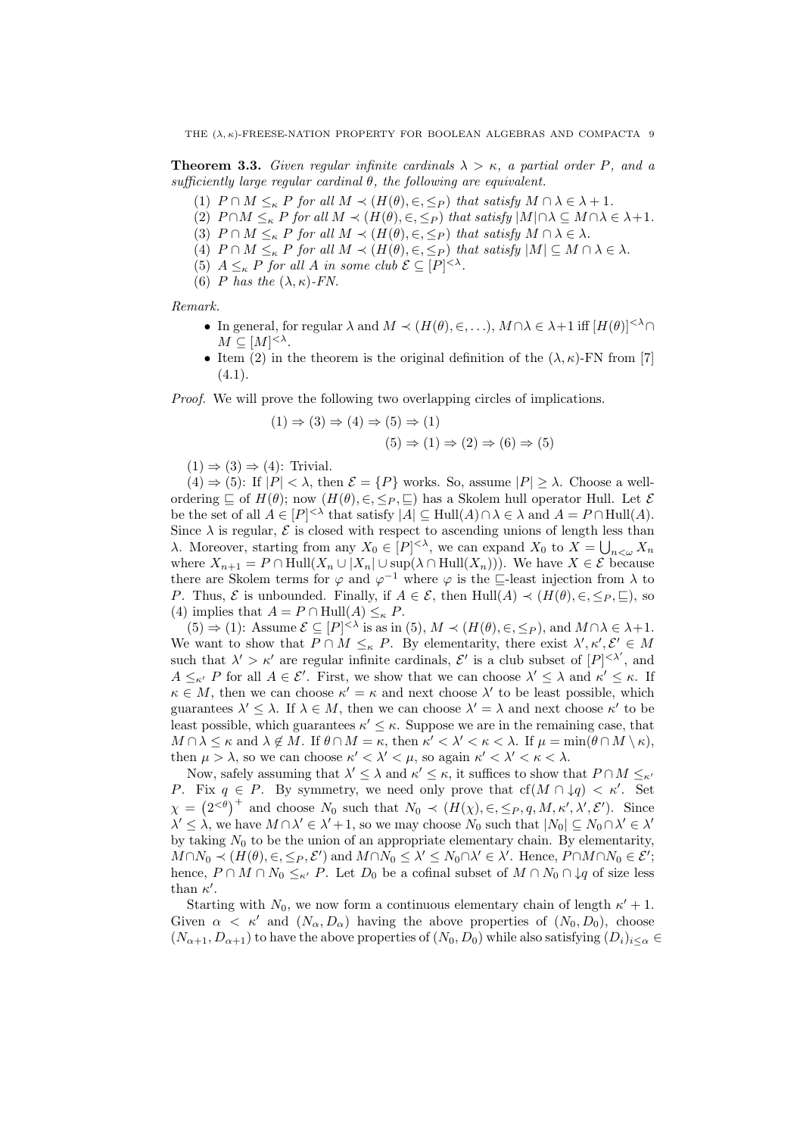**Theorem 3.3.** Given regular infinite cardinals  $\lambda > \kappa$ , a partial order P, and a sufficiently large regular cardinal  $\theta$ , the following are equivalent.

- (1)  $P \cap M \leq_{\kappa} P$  for all  $M \prec (H(\theta), \in, \leq_P)$  that satisfy  $M \cap \lambda \in \lambda + 1$ .
- (2)  $P \cap M \leq_{\kappa} P$  for all  $M \prec (H(\theta), \in, \leq_P)$  that satisfy  $|M| \cap \lambda \subseteq M \cap \lambda \in \lambda + 1$ .
- (3)  $P \cap M \leq_{\kappa} P$  for all  $M \prec (H(\theta), \in, \leq_P)$  that satisfy  $M \cap \lambda \in \lambda$ .
- (4)  $P \cap M \leq_{\kappa} P$  for all  $M \prec (H(\theta), \in, \leq_P)$  that satisfy  $|M| \subseteq M \cap \lambda \in \lambda$ .
- (5)  $A \leq_{\kappa} P$  for all A in some club  $\mathcal{E} \subseteq [P]^{<\lambda}$ .
- (6) P has the  $(\lambda, \kappa)$ -FN.

Remark.

- In general, for regular  $\lambda$  and  $M \prec (H(\theta), \in, \ldots), M \cap \lambda \in \lambda + 1$  iff  $[H(\theta)]^{<\lambda} \cap$  $M \subseteq [M]^{<\lambda}.$
- Item (2) in the theorem is the original definition of the  $(\lambda, \kappa)$ -FN from [7]  $(4.1).$

Proof. We will prove the following two overlapping circles of implications.

$$
(1) \Rightarrow (3) \Rightarrow (4) \Rightarrow (5) \Rightarrow (1)
$$
  

$$
(5) \Rightarrow (1) \Rightarrow (2) \Rightarrow (6) \Rightarrow (5)
$$

 $(1) \Rightarrow (3) \Rightarrow (4)$ : Trivial.

 $(4) \Rightarrow (5)$ : If  $|P| < \lambda$ , then  $\mathcal{E} = \{P\}$  works. So, assume  $|P| > \lambda$ . Choose a wellordering  $\Box$  of  $H(\theta)$ ; now  $(H(\theta), \in, \leq_P, \Box)$  has a Skolem hull operator Hull. Let  $\mathcal E$ be the set of all  $A \in [P]^{< \lambda}$  that satisfy  $|A| \subseteq \text{Hull}(A) \cap \lambda \in \lambda$  and  $A = P \cap \text{Hull}(A)$ . Since  $\lambda$  is regular,  $\mathcal E$  is closed with respect to ascending unions of length less than λ. Moreover, starting from any  $X_0 \in [P]^{< \lambda}$ , we can expand  $X_0$  to  $X = \bigcup_{n<\omega} X_n$ where  $X_{n+1} = P \cap Hull(X_n \cup |X_n| \cup \sup(\lambda \cap Hull(X_n)))$ . We have  $X \in \mathcal{E}$  because there are Skolem terms for  $\varphi$  and  $\varphi^{-1}$  where  $\varphi$  is the  $\sqsubseteq$ -least injection from  $\lambda$  to P. Thus,  $\mathcal E$  is unbounded. Finally, if  $A \in \mathcal E$ , then  $\text{Hull}(A) \prec (H(\theta), \in, \leq_P, \sqsubseteq),$  so (4) implies that  $A = P \cap Hull(A) \leq_{\kappa} P$ .

 $(5) \Rightarrow (1)$ : Assume  $\mathcal{E} \subseteq [P]^{< \lambda}$  is as in  $(5), M \prec (H(\theta), \in, \leq_P)$ , and  $M \cap \lambda \in \lambda+1$ . We want to show that  $P \cap M \leq_{\kappa} P$ . By elementarity, there exist  $\lambda', \kappa', \mathcal{E}' \in M$ such that  $\lambda' > \kappa'$  are regular infinite cardinals,  $\mathcal{E}'$  is a club subset of  $[P]^{<\lambda'}$ , and  $A \leq_{\kappa'} P$  for all  $A \in \mathcal{E}'$ . First, we show that we can choose  $\lambda' \leq \lambda$  and  $\kappa' \leq \kappa$ . If  $\kappa \in M$ , then we can choose  $\kappa' = \kappa$  and next choose  $\lambda'$  to be least possible, which guarantees  $\lambda' \leq \lambda$ . If  $\lambda \in M$ , then we can choose  $\lambda' = \lambda$  and next choose  $\kappa'$  to be least possible, which guarantees  $\kappa' \leq \kappa$ . Suppose we are in the remaining case, that  $M \cap \lambda \leq \kappa$  and  $\lambda \notin M$ . If  $\theta \cap M = \kappa$ , then  $\kappa' < \lambda' < \kappa < \lambda$ . If  $\mu = \min(\theta \cap M \setminus \kappa)$ , then  $\mu > \lambda$ , so we can choose  $\kappa' < \lambda' < \mu$ , so again  $\kappa' < \lambda' < \kappa < \lambda$ .

Now, safely assuming that  $\lambda' \leq \lambda$  and  $\kappa' \leq \kappa$ , it suffices to show that  $P \cap M \leq_{\kappa}$ P. Fix  $q \in P$ . By symmetry, we need only prove that  $cf(M \cap \downarrow q) < \kappa'$ . Set  $\chi = (2^{<\theta})^+$  and choose  $N_0$  such that  $N_0 \prec (H(\chi), \in, \leq_P, q, M, \kappa', \lambda', \mathcal{E}')$ . Since  $\lambda' \leq \lambda$ , we have  $M \cap \lambda' \in \lambda' + 1$ , so we may choose  $N_0$  such that  $|N_0| \subseteq N_0 \cap \lambda' \in \lambda'$ by taking  $N_0$  to be the union of an appropriate elementary chain. By elementarity,  $M \cap N_0 \prec (H(\theta), \in, \leq_P, \mathcal{E}')$  and  $M \cap N_0 \leq \lambda' \leq N_0 \cap \lambda' \in \lambda'$ . Hence,  $P \cap M \cap N_0 \in \mathcal{E}'$ ; hence,  $P \cap M \cap N_0 \leq_{\kappa'} P$ . Let  $D_0$  be a cofinal subset of  $M \cap N_0 \cap \downarrow q$  of size less than  $\kappa'$ .

Starting with  $N_0$ , we now form a continuous elementary chain of length  $\kappa' + 1$ . Given  $\alpha < \kappa'$  and  $(N_{\alpha}, D_{\alpha})$  having the above properties of  $(N_0, D_0)$ , choose  $(N_{\alpha+1}, D_{\alpha+1})$  to have the above properties of  $(N_0, D_0)$  while also satisfying  $(D_i)_{i\leq \alpha} \in$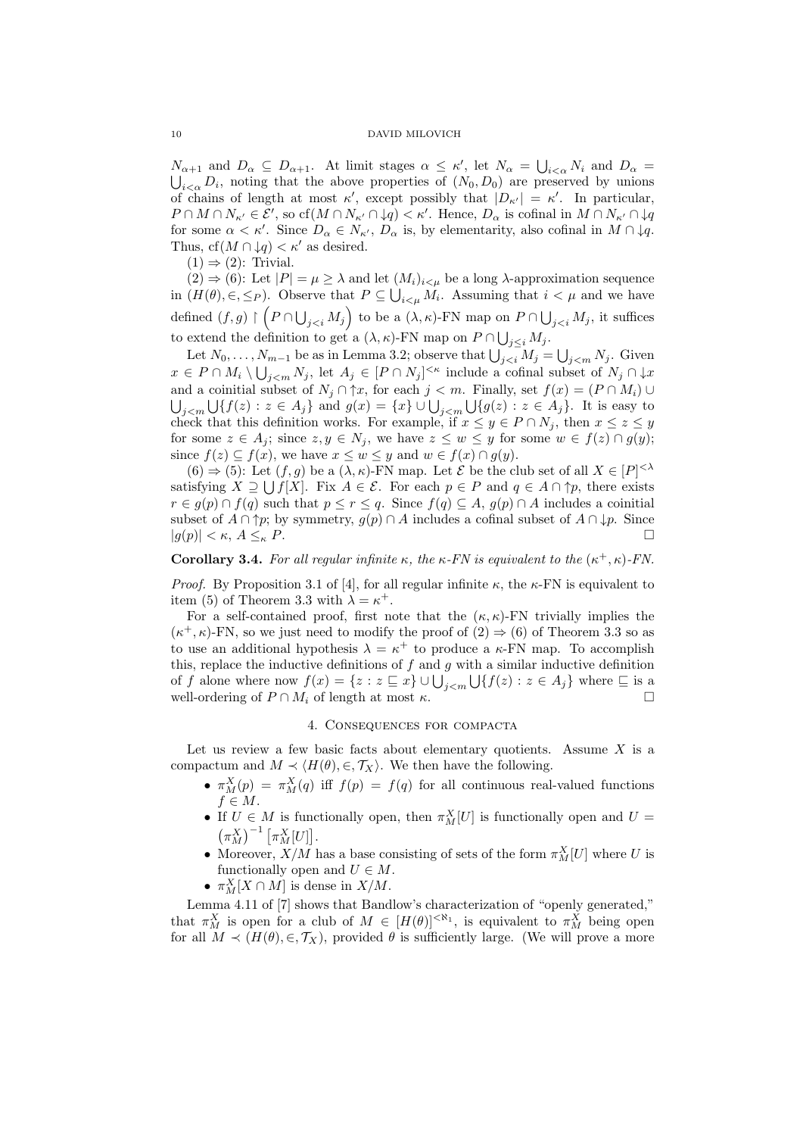$N_{\alpha+1}$  and  $D_{\alpha} \subseteq D_{\alpha+1}$ . At limit stages  $\alpha \leq \kappa'$ , let  $N_{\alpha} = \bigcup_{i < \alpha} N_i$  and  $D_{\alpha} = \bigcup_{i < \alpha} D_i$ , noting that the above properties of  $(N_0, D_0)$  are preserved by unions  $i<sub>\alpha</sub> D<sub>i</sub>$ , noting that the above properties of  $(N_0, D_0)$  are preserved by unions of chains of length at most  $\kappa'$ , except possibly that  $|D_{\kappa'}| = \kappa'$ . In particular,  $P \cap M \cap N_{\kappa'} \in \mathcal{E}'$ , so  $cf(M \cap N_{\kappa'} \cap \downarrow q) < \kappa'$ . Hence,  $D_{\alpha}$  is cofinal in  $M \cap N_{\kappa'} \cap \downarrow q$ for some  $\alpha < \kappa'$ . Since  $D_{\alpha} \in N_{\kappa'}$ ,  $D_{\alpha}$  is, by elementarity, also cofinal in  $M \cap \downarrow q$ . Thus,  $cf(M \cap \downarrow q) < \kappa'$  as desired.

 $(1) \Rightarrow (2)$ : Trivial.

(2)  $\Rightarrow$  (6): Let  $|P| = \mu \ge \lambda$  and let  $(M_i)_{i \le \mu}$  be a long  $\lambda$ -approximation sequence in  $(H(\theta), \in, \leq_P)$ . Observe that  $P \subseteq \bigcup_{i \leq \mu} M_i$ . Assuming that  $i < \mu$  and we have defined  $(f, g) \upharpoonright (P \cap \bigcup_{j < i} M_j)$  to be a  $(\lambda, \kappa)$ -FN map on  $P \cap \bigcup_{j < i} M_j$ , it suffices to extend the definition to get a  $(\lambda, \kappa)$ -FN map on  $P \cap \bigcup_{j \leq i} M_j$ .

Let  $N_0, \ldots, N_{m-1}$  be as in Lemma 3.2; observe that  $\bigcup_{j < i} M_j = \bigcup_{j < m} N_j$ . Given  $x \in P \cap M_i \setminus \bigcup_{j \leq m} N_j$ , let  $A_j \in [P \cap N_j]^{\leq \kappa}$  include a cofinal subset of  $N_j \cap \downarrow x$ and a coinitial subset of  $N_j \cap \uparrow x$ , for each  $j < m$ . Finally, set  $f(x) = (P \cap M_i) \cup$  $\bigcup_{j and  $g(x)=\{x\}\cup\bigcup_{j It is easy to$$ check that this definition works. For example, if  $x \le y \in P \cap N_j$ , then  $x \le z \le y$ for some  $z \in A_j$ ; since  $z, y \in N_j$ , we have  $z \leq w \leq y$  for some  $w \in f(z) \cap g(y)$ ; since  $f(z) \subseteq f(x)$ , we have  $x \leq w \leq y$  and  $w \in f(x) \cap g(y)$ .

 $(6) \Rightarrow (5)$ : Let  $(f, g)$  be a  $(\lambda, \kappa)$ -FN map. Let  $\mathcal E$  be the club set of all  $X \in [P]^{<\lambda}$ satisfying  $X \supseteq \bigcup f[X]$ . Fix  $A \in \mathcal{E}$ . For each  $p \in P$  and  $q \in A \cap \uparrow p$ , there exists  $r \in g(p) \cap f(q)$  such that  $p \leq r \leq q$ . Since  $f(q) \subseteq A$ ,  $g(p) \cap A$  includes a coinitial subset of  $A \cap \uparrow p$ ; by symmetry,  $g(p) \cap A$  includes a cofinal subset of  $A \cap \downarrow p$ . Since  $|g(p)| < \kappa, A \leq_{\kappa} P.$ 

**Corollary 3.4.** For all regular infinite  $\kappa$ , the  $\kappa$ -FN is equivalent to the  $(\kappa^+,\kappa)$ -FN.

*Proof.* By Proposition 3.1 of [4], for all regular infinite  $\kappa$ , the  $\kappa$ -FN is equivalent to item (5) of Theorem 3.3 with  $\lambda = \kappa^+$ .

For a self-contained proof, first note that the  $(\kappa, \kappa)$ -FN trivially implies the  $(\kappa^+, \kappa)$ -FN, so we just need to modify the proof of  $(2) \Rightarrow (6)$  of Theorem 3.3 so as to use an additional hypothesis  $\lambda = \kappa^+$  to produce a  $\kappa$ -FN map. To accomplish this, replace the inductive definitions of  $f$  and  $g$  with a similar inductive definition of f alone where now  $f(x) = \{z : z \sqsubseteq x\} \cup \bigcup_{j < m} \bigcup \{f(z) : z \in A_j\}$  where  $\sqsubseteq$  is a well-ordering of  $P \cap M_i$  of length at most  $\kappa$ .

#### 4. Consequences for compacta

Let us review a few basic facts about elementary quotients. Assume  $X$  is a compactum and  $M \prec \langle H(\theta), \in, \mathcal{T}_X \rangle$ . We then have the following.

- $\pi_M^X(p) = \pi_M^X(q)$  iff  $f(p) = f(q)$  for all continuous real-valued functions  $f \in M$ .
- If  $U \in M$  is functionally open, then  $\pi_M^X[U]$  is functionally open and  $U = (\pi^X)^{-1} [\pi^X[U]]$  $\left(\pi_{M}^{X}\right)^{-1}\left[\pi_{M}^{X}[U]\right].$
- Moreover,  $X/M$  has a base consisting of sets of the form  $\pi_M^X[U]$  where U is functionally open and  $U \in M$ .
- $\pi_M^X[X \cap M]$  is dense in  $X/M$ .

Lemma 4.11 of [7] shows that Bandlow's characterization of "openly generated," that  $\pi_M^X$  is open for a club of  $M \in [H(\theta)]^{<\aleph_1}$ , is equivalent to  $\pi_M^X$  being open for all  $M \prec (H(\theta), \in, \mathcal{T}_X)$ , provided  $\theta$  is sufficiently large. (We will prove a more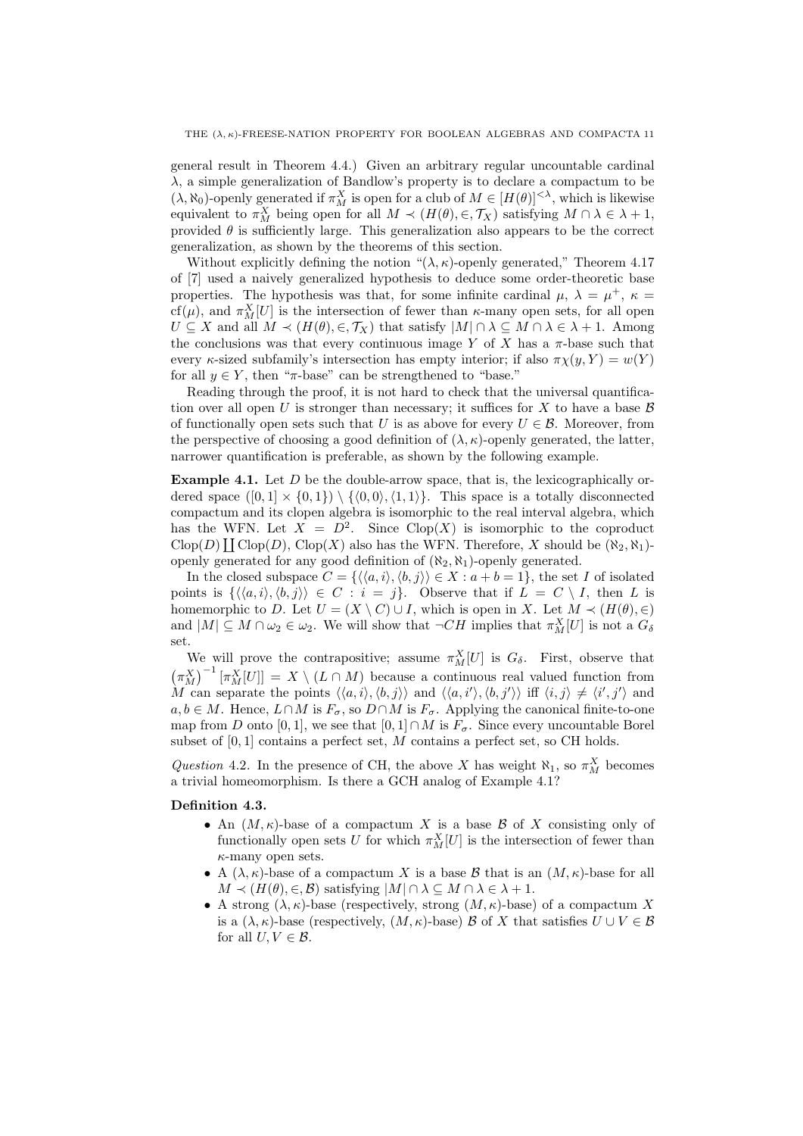general result in Theorem 4.4.) Given an arbitrary regular uncountable cardinal  $\lambda$ , a simple generalization of Bandlow's property is to declare a compactum to be  $(\lambda, \aleph_0)$ -openly generated if  $\pi_M^X$  is open for a club of  $M \in [H(\theta)]^{<\lambda}$ , which is likewise equivalent to  $\pi_M^X$  being open for all  $M \prec (H(\theta), \in, \mathcal{T}_X)$  satisfying  $M \cap \lambda \in \lambda + 1$ , provided  $\theta$  is sufficiently large. This generalization also appears to be the correct generalization, as shown by the theorems of this section.

Without explicitly defining the notion " $(\lambda, \kappa)$ -openly generated," Theorem 4.17 of [7] used a naively generalized hypothesis to deduce some order-theoretic base properties. The hypothesis was that, for some infinite cardinal  $\mu$ ,  $\lambda = \mu^+$ ,  $\kappa =$ cf( $\mu$ ), and  $\pi_M^X[U]$  is the intersection of fewer than  $\kappa$ -many open sets, for all open  $U \subseteq X$  and all  $M \prec (H(\theta), \in, \mathcal{T}_X)$  that satisfy  $|M| \cap \lambda \subseteq M \cap \lambda \in \lambda + 1$ . Among the conclusions was that every continuous image Y of X has a  $\pi$ -base such that every  $\kappa$ -sized subfamily's intersection has empty interior; if also  $\pi \chi(y, Y) = w(Y)$ for all  $y \in Y$ , then " $\pi$ -base" can be strengthened to "base."

Reading through the proof, it is not hard to check that the universal quantification over all open U is stronger than necessary; it suffices for X to have a base  $\beta$ of functionally open sets such that U is as above for every  $U \in \mathcal{B}$ . Moreover, from the perspective of choosing a good definition of  $(\lambda, \kappa)$ -openly generated, the latter, narrower quantification is preferable, as shown by the following example.

**Example 4.1.** Let  $D$  be the double-arrow space, that is, the lexicographically ordered space  $([0, 1] \times \{0, 1\}) \setminus \{\langle 0, 0 \rangle, \langle 1, 1 \rangle\}.$  This space is a totally disconnected compactum and its clopen algebra is isomorphic to the real interval algebra, which has the WFN. Let  $X = D^2$ . Since Clop(X) is isomorphic to the coproduct Clop(D)  $\coprod$  Clop(D), Clop(X) also has the WFN. Therefore, X should be  $(\aleph_2, \aleph_1)$ openly generated for any good definition of  $(\aleph_2, \aleph_1)$ -openly generated.

In the closed subspace  $C = \{ \langle \langle a, i \rangle, \langle b, j \rangle \rangle \in X : a + b = 1 \},\$  the set I of isolated points is  $\{\langle \langle a, i \rangle, \langle b, j \rangle \rangle \in C : i = j\}.$  Observe that if  $L = C \setminus I$ , then L is homemorphic to D. Let  $U = (X \setminus C) \cup I$ , which is open in X. Let  $M \prec (H(\theta), \in)$ and  $|M| \subseteq M \cap \omega_2 \in \omega_2$ . We will show that  $\neg CH$  implies that  $\pi_M^X[U]$  is not a  $G_\delta$ set.

We will prove the contrapositive; assume  $\pi_M^X[U]$  is  $G_\delta$ . First, observe that  $(\pi_M^X)^{-1} [\pi_M^X[U]] = X \setminus (L \cap M)$  because a continuous real valued function from M can separate the points  $\langle\langle a,i\rangle,\langle b,j\rangle\rangle$  and  $\langle\langle a,i'\rangle,\langle b,j'\rangle\rangle$  iff  $\langle i,j\rangle \neq \langle i',j'\rangle$  and  $a, b \in M$ . Hence,  $L \cap M$  is  $F_{\sigma}$ , so  $D \cap M$  is  $F_{\sigma}$ . Applying the canonical finite-to-one map from D onto [0, 1], we see that [0, 1]∩M is  $F_{\sigma}$ . Since every uncountable Borel subset of  $[0, 1]$  contains a perfect set, M contains a perfect set, so CH holds.

Question 4.2. In the presence of CH, the above X has weight  $\aleph_1$ , so  $\pi_M^X$  becomes a trivial homeomorphism. Is there a GCH analog of Example 4.1?

### Definition 4.3.

- An  $(M, \kappa)$ -base of a compactum X is a base B of X consisting only of functionally open sets U for which  $\pi_M^X[U]$  is the intersection of fewer than  $\kappa$ -many open sets.
- A  $(\lambda, \kappa)$ -base of a compactum X is a base B that is an  $(M, \kappa)$ -base for all  $M \prec (H(\theta), \in, \mathcal{B})$  satisfying  $|M| \cap \lambda \subseteq M \cap \lambda \in \lambda + 1$ .
- A strong  $(\lambda, \kappa)$ -base (respectively, strong  $(M, \kappa)$ -base) of a compactum X is a  $(\lambda, \kappa)$ -base (respectively,  $(M, \kappa)$ -base) B of X that satisfies  $U \cup V \in \mathcal{B}$ for all  $U, V \in \mathcal{B}$ .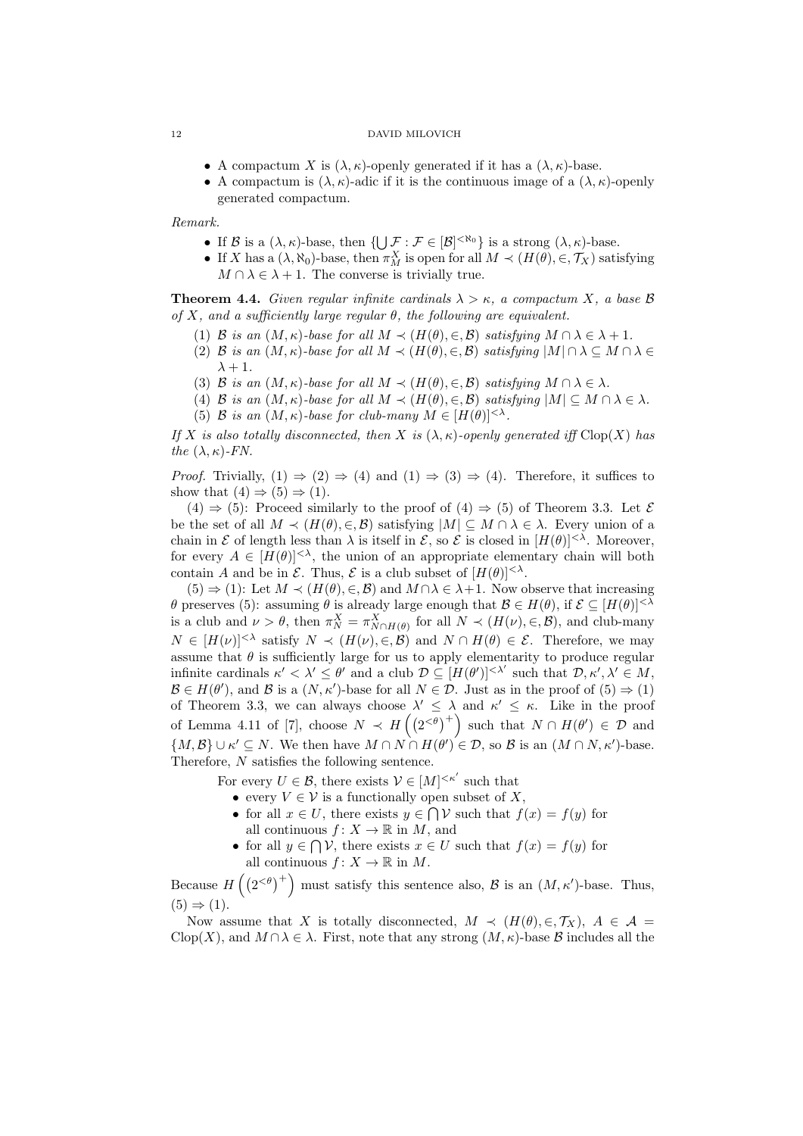- A compactum X is  $(\lambda, \kappa)$ -openly generated if it has a  $(\lambda, \kappa)$ -base.
- A compactum is  $(\lambda, \kappa)$ -adic if it is the continuous image of a  $(\lambda, \kappa)$ -openly generated compactum.

Remark.

- If B is a  $(\lambda, \kappa)$ -base, then  $\{\bigcup \mathcal{F} : \mathcal{F} \in [\mathcal{B}]^{< \aleph_0}\}\$ is a strong  $(\lambda, \kappa)$ -base.
- If X has a  $(\lambda, \aleph_0)$ -base, then  $\pi_M^X$  is open for all  $M \prec (H(\theta), \in, \mathcal{T}_X)$  satisfying  $M \cap \lambda \in \lambda + 1$ . The converse is trivially true.

**Theorem 4.4.** Given regular infinite cardinals  $\lambda > \kappa$ , a compactum X, a base B of X, and a sufficiently large regular  $\theta$ , the following are equivalent.

- (1) B is an  $(M, \kappa)$ -base for all  $M \prec (H(\theta), \in, \mathcal{B})$  satisfying  $M \cap \lambda \in \lambda + 1$ .
- (2) B is an  $(M, \kappa)$ -base for all  $M \prec (H(\theta), \in, \mathcal{B})$  satisfying  $|M| \cap \lambda \subseteq M \cap \lambda \in$  $\lambda + 1$ .
- (3) B is an  $(M, \kappa)$ -base for all  $M \prec (H(\theta), \in, \mathcal{B})$  satisfying  $M \cap \lambda \in \lambda$ .
- (4) B is an  $(M, \kappa)$ -base for all  $M \prec (H(\theta), \in, \mathcal{B})$  satisfying  $|M| \subseteq M \cap \lambda \in \lambda$ .
- (5) B is an  $(M, \kappa)$ -base for club-many  $M \in [H(\theta)]^{<\lambda}$ .

If X is also totally disconnected, then X is  $(\lambda, \kappa)$ -openly generated iff Clop(X) has the  $(\lambda, \kappa)$ -FN.

*Proof.* Trivially,  $(1) \Rightarrow (2) \Rightarrow (4)$  and  $(1) \Rightarrow (3) \Rightarrow (4)$ . Therefore, it suffices to show that  $(4) \Rightarrow (5) \Rightarrow (1)$ .

 $(4) \Rightarrow (5)$ : Proceed similarly to the proof of  $(4) \Rightarrow (5)$  of Theorem 3.3. Let E be the set of all  $M \prec (H(\theta), \in, \mathcal{B})$  satisfying  $|M| \subseteq M \cap \lambda \in \lambda$ . Every union of a chain in  $\mathcal E$  of length less than  $\lambda$  is itself in  $\mathcal E$ , so  $\mathcal E$  is closed in  $[H(\theta)]^{<\lambda}$ . Moreover, for every  $A \in [H(\theta)]^{<\lambda}$ , the union of an appropriate elementary chain will both contain A and be in  $\mathcal E$ . Thus,  $\mathcal E$  is a club subset of  $[H(\theta)]^{<\lambda}$ .

 $(5) \Rightarrow (1)$ : Let  $M \prec (H(\theta), \in, \mathcal{B})$  and  $M \cap \lambda \in \lambda + 1$ . Now observe that increasing θ preserves (5): assuming θ is already large enough that  $\mathcal{B} \in H(\theta)$ , if  $\mathcal{E} \subseteq [H(\theta)]^{<λ}$ is a club and  $\nu > \theta$ , then  $\pi_N^X = \pi_{N \cap H(\theta)}^X$  for all  $N \prec (H(\nu), \in, \mathcal{B})$ , and club-many  $N \in [H(\nu)]^{<\lambda}$  satisfy  $N \prec (H(\nu), \in, \mathcal{B})$  and  $N \cap H(\theta) \in \mathcal{E}$ . Therefore, we may assume that  $\theta$  is sufficiently large for us to apply elementarity to produce regular infinite cardinals  $\kappa' < \lambda' \leq \theta'$  and a club  $\mathcal{D} \subseteq [H(\theta')]^{<\lambda'}$  such that  $\mathcal{D}, \kappa', \lambda' \in M$ ,  $\mathcal{B} \in H(\theta')$ , and  $\mathcal{B}$  is a  $(N, \kappa')$ -base for all  $N \in \mathcal{D}$ . Just as in the proof of  $(5) \Rightarrow (1)$ of Theorem 3.3, we can always choose  $\lambda' \leq \lambda$  and  $\kappa' \leq \kappa$ . Like in the proof of Lemma 4.11 of [7], choose  $N \prec H\left(\left(2^{<\theta}\right)^+\right)$  such that  $N \cap H(\theta') \in \mathcal{D}$  and  $\{M, \mathcal{B}\}\cup \kappa' \subseteq N$ . We then have  $M \cap N \cap H(\theta') \in \mathcal{D}$ , so  $\mathcal{B}$  is an  $(M \cap N, \kappa')$ -base. Therefore, N satisfies the following sentence.

For every  $U \in \mathcal{B}$ , there exists  $\mathcal{V} \in [M]^{<\kappa'}$  such that

- every  $V \in \mathcal{V}$  is a functionally open subset of X,
- for all  $x \in U$ , there exists  $y \in \bigcap V$  such that  $f(x) = f(y)$  for all continuous  $f: X \to \mathbb{R}$  in M, and
- for all  $y \in \bigcap \mathcal{V}$ , there exists  $x \in U$  such that  $f(x) = f(y)$  for all continuous  $f: X \to \mathbb{R}$  in M.

Because  $H((2<sup>{\neq} )<sup>+</sup>)</sup>$  must satisfy this sentence also,  $\beta$  is an  $(M, \kappa')$ -base. Thus,  $(5) \Rightarrow (1).$ 

Now assume that X is totally disconnected,  $M \prec (H(\theta), \in, \mathcal{T}_X)$ ,  $A \in \mathcal{A}$  $C\text{lop}(X)$ , and  $M \cap \lambda \in \lambda$ . First, note that any strong  $(M, \kappa)$ -base  $\beta$  includes all the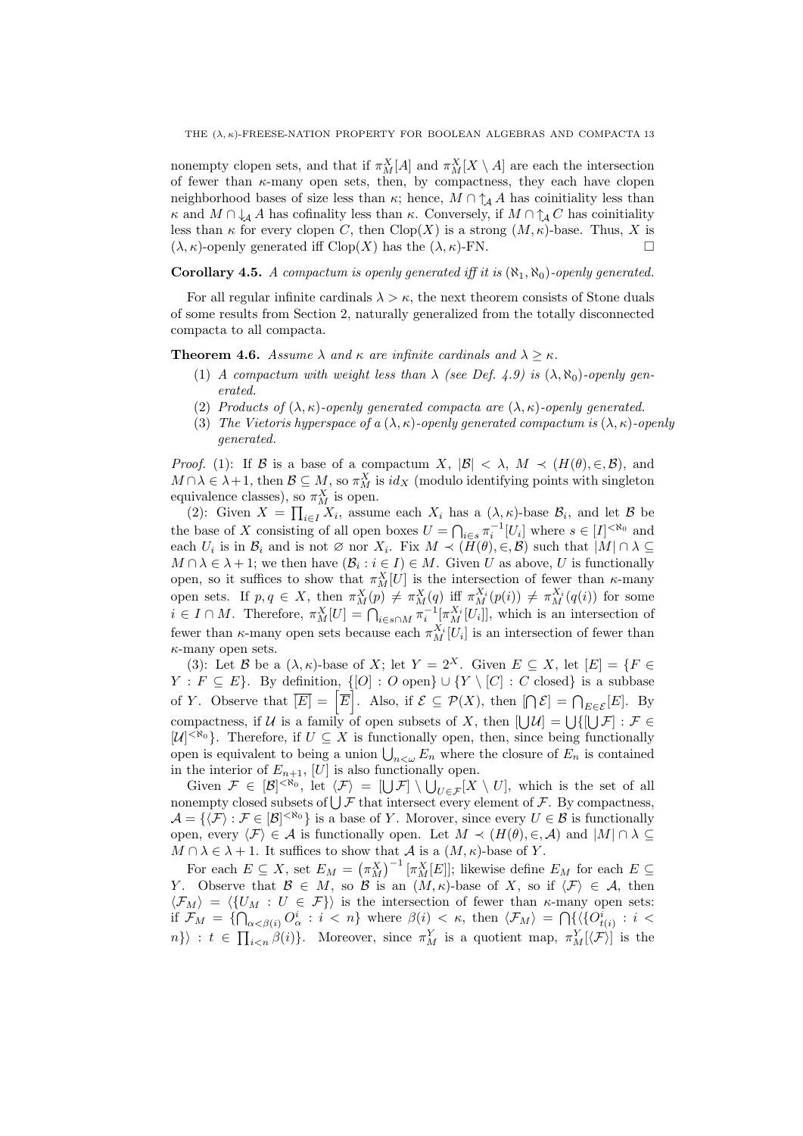nonempty clopen sets, and that if  $\pi_M^X[A]$  and  $\pi_M^X[X \setminus A]$  are each the intersection of fewer than  $\kappa$ -many open sets, then, by compactness, they each have clopen neighborhood bases of size less than  $\kappa$ ; hence,  $M \cap \uparrow_A A$  has coinitiality less than  $\kappa$  and  $M \cap \downarrow$  A has cofinality less than  $\kappa$ . Conversely, if  $M \cap \uparrow$  C has coinitiality less than  $\kappa$  for every clopen C, then Clop(X) is a strong  $(M, \kappa)$ -base. Thus, X is  $(\lambda, \kappa)$ -openly generated iff  $Clop(X)$  has the  $(\lambda, \kappa)$ -FN.

# **Corollary 4.5.** A compactum is openly generated iff it is  $(\aleph_1, \aleph_0)$ -openly generated.

For all regular infinite cardinals  $\lambda > \kappa$ , the next theorem consists of Stone duals of some results from Section 2, naturally generalized from the totally disconnected compacta to all compacta.

**Theorem 4.6.** Assume  $\lambda$  and  $\kappa$  are infinite cardinals and  $\lambda \geq \kappa$ .

- (1) A compactum with weight less than  $\lambda$  (see Def. 4.9) is  $(\lambda, \aleph_0)$ -openly generated.
- (2) Products of  $(\lambda, \kappa)$ -openly generated compacta are  $(\lambda, \kappa)$ -openly generated.
- (3) The Vietoris hyperspace of a  $(\lambda, \kappa)$ -openly generated compactum is  $(\lambda, \kappa)$ -openly generated.

*Proof.* (1): If B is a base of a compactum X,  $|\mathcal{B}| < \lambda$ ,  $M \prec (H(\theta), \in, \mathcal{B})$ , and  $M \cap \lambda \in \lambda + 1$ , then  $\mathcal{B} \subseteq M$ , so  $\pi_M^X$  is  $id_X$  (modulo identifying points with singleton equivalence classes), so  $\pi_M^X$  is open.

(2): Given  $X = \prod_{i \in I} X_i$ , assume each  $X_i$  has a  $(\lambda, \kappa)$ -base  $\mathcal{B}_i$ , and let  $\mathcal{B}$  be the base of X consisting of all open boxes  $U = \bigcap_{i \in s} \pi_i^{-1}[U_i]$  where  $s \in [I]^{< \aleph_0}$  and each  $U_i$  is in  $\mathcal{B}_i$  and is not  $\varnothing$  nor  $X_i$ . Fix  $M \prec (H(\theta), \in, \mathcal{B})$  such that  $|M| \cap \lambda \subseteq$  $M \cap \lambda \in \lambda + 1$ ; we then have  $(\mathcal{B}_i : i \in I) \in M$ . Given U as above, U is functionally open, so it suffices to show that  $\pi_M^X[U]$  is the intersection of fewer than  $\kappa$ -many open sets. If  $p, q \in X$ , then  $\pi_M^X(p) \neq \pi_M^X(q)$  iff  $\pi_M^{X_i}(p(i)) \neq \pi_M^{X_i}(q(i))$  for some  $i \in I \cap M$ . Therefore,  $\pi_M^X[U] = \bigcap_{i \in s \cap M} \pi_i^{-1}[\pi_M^{X_i}[U_i]]$ , which is an intersection of fewer than  $\kappa$ -many open sets because each  $\pi_M^{X_i}[U_i]$  is an intersection of fewer than  $\kappa$ -many open sets.

(3): Let B be a  $(\lambda, \kappa)$ -base of X; let  $Y = 2^X$ . Given  $E \subseteq X$ , let  $[E] = \{F \in$  $Y : F \subseteq E$ . By definition,  $\{[O] : O \text{ open}\} \cup \{Y \setminus [C] : C \text{ closed}\}$  is a subbase of Y. Observe that  $\overline{[E]} = \left[\overline{E}\right]$ . Also, if  $\mathcal{E} \subseteq \mathcal{P}(X)$ , then  $\left[\bigcap \mathcal{E}\right] = \bigcap_{E \in \mathcal{E}} [E]$ . By compactness, if U is a family of open subsets of X, then  $[\bigcup \mathcal{U}] = \bigcup \{ [\bigcup \mathcal{F}] : \mathcal{F} \in$  $[\mathcal{U}]^{<\aleph_0}$ . Therefore, if  $U \subseteq X$  is functionally open, then, since being functionally open is equivalent to being a union  $\bigcup_{n<\omega} E_n$  where the closure of  $E_n$  is contained in the interior of  $E_{n+1}$ , [U] is also functionally open.

Given  $\mathcal{F} \in [\mathcal{B}]^{< \aleph_0}$ , let  $\langle \mathcal{F} \rangle = [\bigcup \mathcal{F}] \setminus \bigcup_{U \in \mathcal{F}} [X \setminus U]$ , which is the set of all nonempty closed subsets of  $\bigcup \mathcal{F}$  that intersect every element of  $\mathcal{F}$ . By compactness,  $\mathcal{A} = \{ \langle \mathcal{F} \rangle : \mathcal{F} \in [\mathcal{B}]^{< \aleph_0} \}$  is a base of Y. Morover, since every  $U \in \mathcal{B}$  is functionally open, every  $\langle \mathcal{F} \rangle \in \mathcal{A}$  is functionally open. Let  $M \prec (H(\theta), \in, \mathcal{A})$  and  $|M| \cap \lambda \subseteq$  $M \cap \lambda \in \lambda + 1$ . It suffices to show that A is a  $(M, \kappa)$ -base of Y.

For each  $E \subseteq X$ , set  $E_M = (\pi_M^X)^{-1} [\pi_M^X[E]]$ ; likewise define  $E_M$  for each  $E \subseteq$ Y. Observe that  $\mathcal{B} \in M$ , so  $\mathcal{B}$  is an  $(M,\kappa)$ -base of X, so if  $\langle \mathcal{F} \rangle \in \mathcal{A}$ , then  $\langle \mathcal{F}_M \rangle = \langle \{U_M : U \in \mathcal{F} \} \rangle$  is the intersection of fewer than  $\kappa$ -many open sets: if  $\mathcal{F}_M = \{\bigcap_{\alpha < \beta(i)} O^i_{\alpha} : i < n\}$  where  $\beta(i) < \kappa$ , then  $\langle \mathcal{F}_M \rangle = \bigcap \{\langle \{O^i_{t(i)} : i < \kappa \rangle\} \rangle$  $n\}\rangle : t \in \prod_{i\leq n} \beta(i)\}.$  Moreover, since  $\pi_M^Y$  is a quotient map,  $\pi_M^Y[\langle \mathcal{F}\rangle]$  is the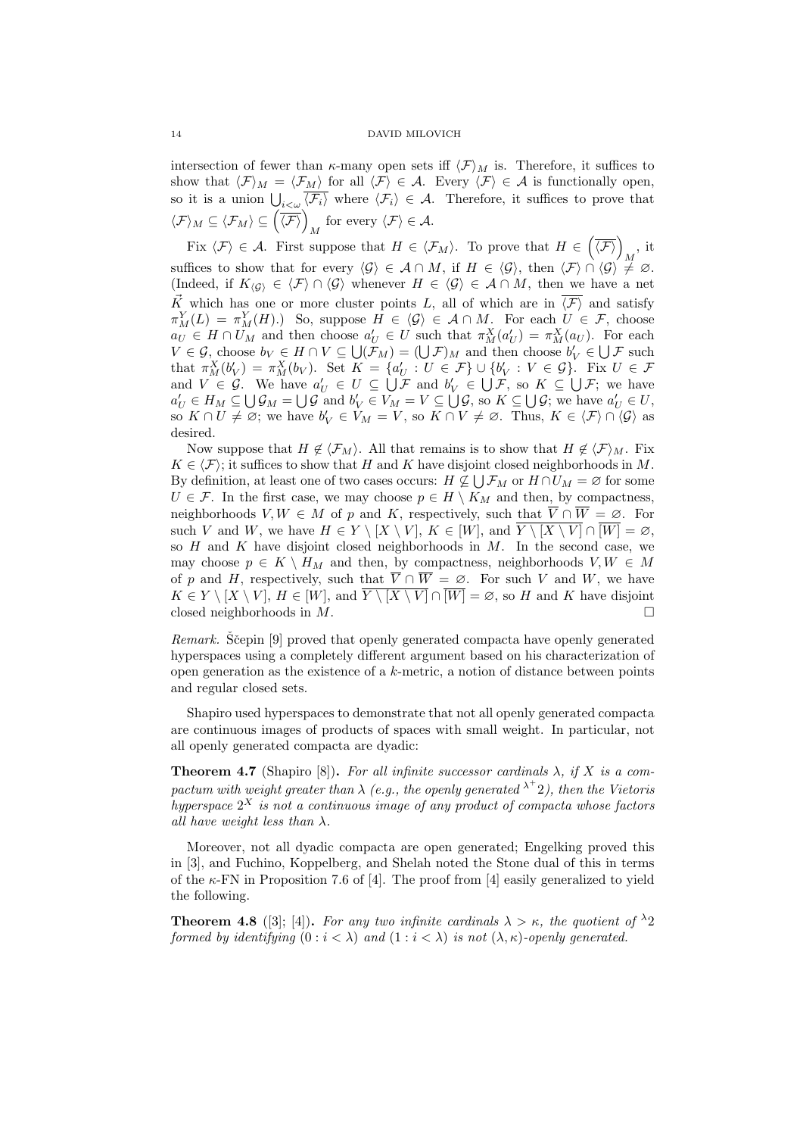intersection of fewer than  $\kappa$ -many open sets iff  $\langle \mathcal{F} \rangle_M$  is. Therefore, it suffices to show that  $\langle \mathcal{F} \rangle_M = \langle \mathcal{F}_M \rangle$  for all  $\langle \mathcal{F} \rangle \in \mathcal{A}$ . Every  $\langle \mathcal{F} \rangle \in \mathcal{A}$  is functionally open, so it is a union  $\bigcup_{i<\omega}\langle \mathcal{F}_i\rangle$  where  $\langle \mathcal{F}_i\rangle \in \mathcal{A}$ . Therefore, it suffices to prove that  $\langle \mathcal{F} \rangle_M \subseteq \langle \mathcal{F}_M \rangle \subseteq \left(\overline{\langle \mathcal{F} \rangle}\right)_M$  for every  $\langle \mathcal{F} \rangle \in \mathcal{A}$ .

Fix  $\langle \mathcal{F} \rangle \in \mathcal{A}$ . First suppose that  $H \in \langle \mathcal{F}_M \rangle$ . To prove that  $H \in \left(\overline{\langle \mathcal{F} \rangle}\right)_M$ , it suffices to show that for every  $\langle \mathcal{G} \rangle \in \mathcal{A} \cap M$ , if  $H \in \langle \mathcal{G} \rangle$ , then  $\langle \mathcal{F} \rangle \cap \langle \mathcal{G} \rangle \neq \emptyset$ . (Indeed, if  $K_{\langle G \rangle} \in \langle F \rangle \cap \langle G \rangle$  whenever  $H \in \langle G \rangle \in \mathcal{A} \cap M$ , then we have a net  $\vec{K}$  which has one or more cluster points L, all of which are in  $\overline{\langle F \rangle}$  and satisfy  $\pi_M^Y(L) = \pi_M^Y(H)$ .) So, suppose  $H \in \langle \mathcal{G} \rangle \in \mathcal{A} \cap M$ . For each  $U \in \mathcal{F}$ , choose  $a_U \in H \cap U_M$  and then choose  $a'_U \in U$  such that  $\pi_M^X(a'_U) = \pi_M^X(a_U)$ . For each  $V \in \mathcal{G}$ , choose  $b_V \in H \cap V \subseteq \bigcup (\mathcal{F}_M) = (\bigcup \mathcal{F})_M$  and then choose  $b'_V \in \bigcup \mathcal{F}$  such that  $\pi_M^X(b'_V) = \pi_M^X(b_V)$ . Set  $K = \{a'_U : U \in \mathcal{F}\} \cup \{b'_V : V \in \mathcal{G}\}$ . Fix  $U \in \mathcal{F}$ and  $V \in \mathcal{G}$ . We have  $a'_U \in U \subseteq \bigcup \mathcal{F}$  and  $b'_V \in \bigcup \mathcal{F}$ , so  $K \subseteq \bigcup \mathcal{F}$ ; we have  $a'_U \in H_M \subseteq \bigcup \mathcal{G}_M = \bigcup \mathcal{G}$  and  $b'_V \in V_M = V \subseteq \bigcup \mathcal{G}$ , so  $K \subseteq \bigcup \mathcal{G}$ ; we have  $a'_U \in U$ , so  $K \cap U \neq \emptyset$ ; we have  $b'_V \in V_M = V$ , so  $K \cap V \neq \emptyset$ . Thus,  $K \in \langle \mathcal{F} \rangle \cap \langle \mathcal{G} \rangle$  as desired.

Now suppose that  $H \notin \langle \mathcal{F}_M \rangle$ . All that remains is to show that  $H \notin \langle \mathcal{F} \rangle_M$ . Fix  $K \in \langle \mathcal{F} \rangle$ ; it suffices to show that H and K have disjoint closed neighborhoods in M. By definition, at least one of two cases occurs:  $H \not\subseteq \bigcup \mathcal{F}_M$  or  $H \cap U_M = \varnothing$  for some  $U \in \mathcal{F}$ . In the first case, we may choose  $p \in H \setminus K_M$  and then, by compactness, neighborhoods  $V, W \in M$  of p and K, respectively, such that  $\overline{V} \cap \overline{W} = \emptyset$ . For such V and W, we have  $H \in Y \setminus [X \setminus V], K \in [W]$ , and  $\overline{Y \setminus [X \setminus V]} \cap \overline{[W]} = \emptyset$ , so  $H$  and  $K$  have disjoint closed neighborhoods in  $M$ . In the second case, we may choose  $p \in K \setminus H_M$  and then, by compactness, neighborhoods  $V, W \in M$ of p and H, respectively, such that  $\overline{V} \cap \overline{W} = \emptyset$ . For such V and W, we have  $K \in Y \setminus [X \setminus V], H \in [W],$  and  $\overline{Y \setminus [X \setminus V]} \cap \overline{[W]} = \emptyset$ , so H and K have disjoint closed neighborhoods in  $M$ .

Remark. Scepin [9] proved that openly generated compacta have openly generated hyperspaces using a completely different argument based on his characterization of open generation as the existence of a  $k$ -metric, a notion of distance between points and regular closed sets.

Shapiro used hyperspaces to demonstrate that not all openly generated compacta are continuous images of products of spaces with small weight. In particular, not all openly generated compacta are dyadic:

**Theorem 4.7** (Shapiro [8]). For all infinite successor cardinals  $\lambda$ , if X is a compactum with weight greater than  $\lambda$  (e.g., the openly generated  $^{\lambda^+}$ 2), then the Vietoris hyperspace  $2^X$  is not a continuous image of any product of compacta whose factors all have weight less than  $\lambda$ .

Moreover, not all dyadic compacta are open generated; Engelking proved this in [3], and Fuchino, Koppelberg, and Shelah noted the Stone dual of this in terms of the  $\kappa$ -FN in Proposition 7.6 of [4]. The proof from [4] easily generalized to yield the following.

**Theorem 4.8** ([3]; [4]). For any two infinite cardinals  $\lambda > \kappa$ , the quotient of  $\lambda$ 2 formed by identifying  $(0 : i < \lambda)$  and  $(1 : i < \lambda)$  is not  $(\lambda, \kappa)$ -openly generated.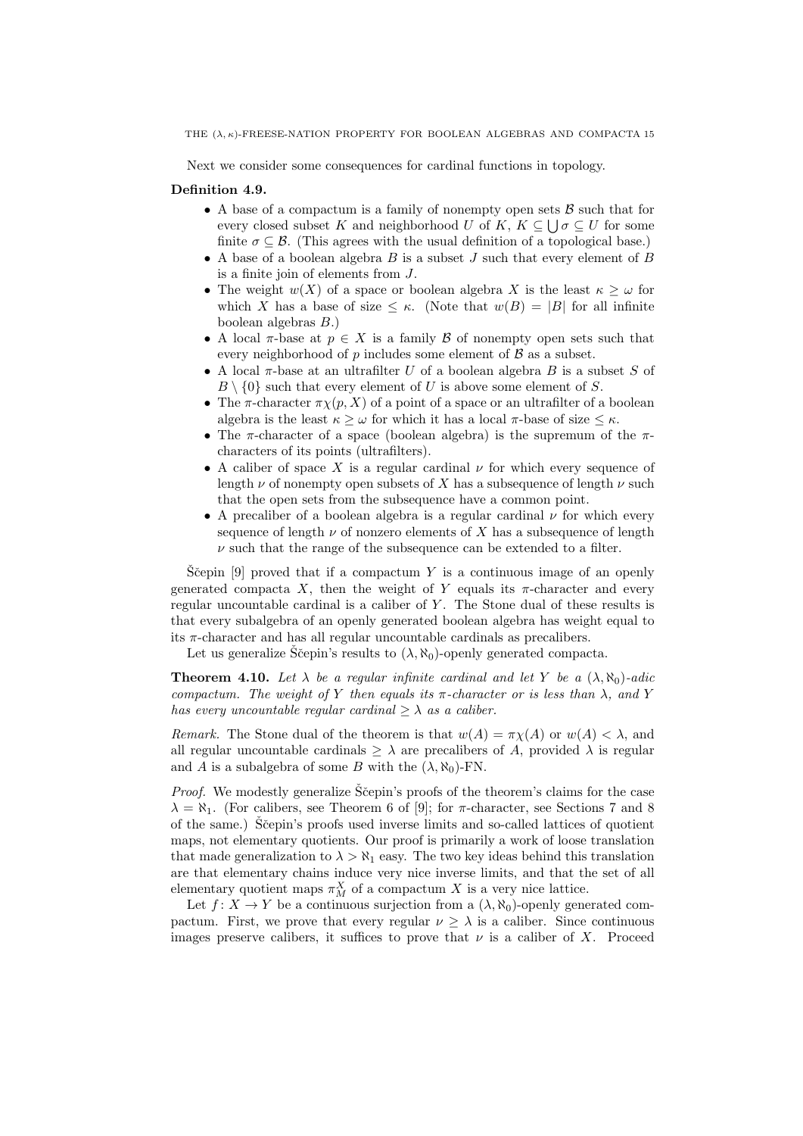Next we consider some consequences for cardinal functions in topology.

### Definition 4.9.

- A base of a compactum is a family of nonempty open sets  $\beta$  such that for every closed subset K and neighborhood U of K,  $K \subseteq \bigcup \sigma \subseteq U$  for some finite  $\sigma \subseteq \mathcal{B}$ . (This agrees with the usual definition of a topological base.)
- A base of a boolean algebra  $B$  is a subset  $J$  such that every element of  $B$ is a finite join of elements from J.
- The weight  $w(X)$  of a space or boolean algebra X is the least  $\kappa \geq \omega$  for which X has a base of size  $\leq \kappa$ . (Note that  $w(B) = |B|$  for all infinite boolean algebras B.)
- A local  $\pi$ -base at  $p \in X$  is a family  $\beta$  of nonempty open sets such that every neighborhood of  $p$  includes some element of  $\beta$  as a subset.
- A local  $\pi$ -base at an ultrafilter U of a boolean algebra B is a subset S of  $B \setminus \{0\}$  such that every element of U is above some element of S.
- The  $\pi$ -character  $\pi \chi(p, X)$  of a point of a space or an ultrafilter of a boolean algebra is the least  $\kappa \geq \omega$  for which it has a local  $\pi$ -base of size  $\leq \kappa$ .
- The  $\pi$ -character of a space (boolean algebra) is the supremum of the  $\pi$ characters of its points (ultrafilters).
- A caliber of space X is a regular cardinal  $\nu$  for which every sequence of length  $\nu$  of nonempty open subsets of X has a subsequence of length  $\nu$  such that the open sets from the subsequence have a common point.
- A precaliber of a boolean algebra is a regular cardinal  $\nu$  for which every sequence of length  $\nu$  of nonzero elements of X has a subsequence of length  $\nu$  such that the range of the subsequence can be extended to a filter.

S $\check{S}$ cepin [9] proved that if a compactum Y is a continuous image of an openly generated compacta X, then the weight of Y equals its  $\pi$ -character and every regular uncountable cardinal is a caliber of Y. The Stone dual of these results is that every subalgebra of an openly generated boolean algebra has weight equal to its  $\pi$ -character and has all regular uncountable cardinals as precalibers.

Let us generalize Sčepin's results to  $(\lambda, \aleph_0)$ -openly generated compacta.

**Theorem 4.10.** Let  $\lambda$  be a regular infinite cardinal and let Y be a  $(\lambda, \aleph_0)$ -adic compactum. The weight of Y then equals its  $\pi$ -character or is less than  $\lambda$ , and Y has every uncountable regular cardinal  $\geq \lambda$  as a caliber.

Remark. The Stone dual of the theorem is that  $w(A) = \pi \chi(A)$  or  $w(A) < \lambda$ , and all regular uncountable cardinals  $\geq \lambda$  are precalibers of A, provided  $\lambda$  is regular and A is a subalgebra of some B with the  $(\lambda, \aleph_0)$ -FN.

*Proof.* We modestly generalize  $\check{S}$ cepin's proofs of the theorem's claims for the case  $\lambda = \aleph_1$ . (For calibers, see Theorem 6 of [9]; for  $\pi$ -character, see Sections 7 and 8 of the same.) Stepin's proofs used inverse limits and so-called lattices of quotient maps, not elementary quotients. Our proof is primarily a work of loose translation that made generalization to  $\lambda > \aleph_1$  easy. The two key ideas behind this translation are that elementary chains induce very nice inverse limits, and that the set of all elementary quotient maps  $\pi_M^X$  of a compactum X is a very nice lattice.

Let  $f: X \to Y$  be a continuous surjection from a  $(\lambda, \aleph_0)$ -openly generated compactum. First, we prove that every regular  $\nu \geq \lambda$  is a caliber. Since continuous images preserve calibers, it suffices to prove that  $\nu$  is a caliber of X. Proceed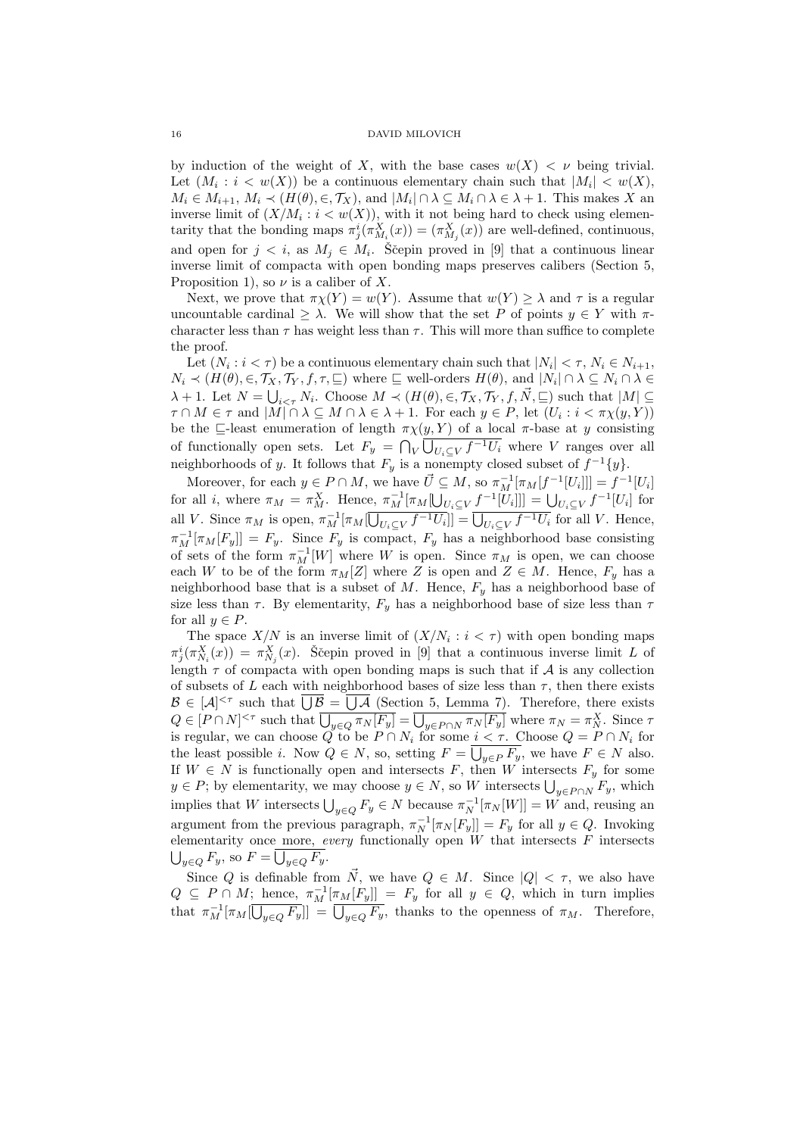by induction of the weight of X, with the base cases  $w(X) < \nu$  being trivial. Let  $(M_i : i < w(X))$  be a continuous elementary chain such that  $|M_i| < w(X)$ ,  $M_i \in M_{i+1}, M_i \prec (H(\theta), \in, \mathcal{T}_X)$ , and  $|M_i| \cap \lambda \subseteq M_i \cap \lambda \in \lambda + 1$ . This makes X an inverse limit of  $(X/M_i : i < w(X))$ , with it not being hard to check using elementarity that the bonding maps  $\pi_j^i(\pi_{M_i}^X(x)) = (\pi_{M_j}^X(x))$  are well-defined, continuous, and open for  $j < i$ , as  $M_j \in M_i$ . Ščepin proved in [9] that a continuous linear inverse limit of compacta with open bonding maps preserves calibers (Section 5, Proposition 1), so  $\nu$  is a caliber of X.

Next, we prove that  $\pi \chi(Y) = w(Y)$ . Assume that  $w(Y) \geq \lambda$  and  $\tau$  is a regular uncountable cardinal  $\geq \lambda$ . We will show that the set P of points  $y \in Y$  with  $\pi$ character less than  $\tau$  has weight less than  $\tau$ . This will more than suffice to complete the proof.

Let  $(N_i : i < \tau)$  be a continuous elementary chain such that  $|N_i| < \tau$ ,  $N_i \in N_{i+1}$ ,  $N_i \prec (H(\theta), \in, \mathcal{T}_X, \mathcal{T}_Y, f, \tau, \sqsubseteq)$  where  $\sqsubseteq$  well-orders  $H(\theta)$ , and  $|N_i| \cap \lambda \subseteq N_i \cap \lambda \in$  $\lambda + 1$ . Let  $N = \bigcup_{i \leq \tau} N_i$ . Choose  $M \prec (H(\theta), \in, \mathcal{T}_X, \mathcal{T}_Y, f, \vec{N}, \sqsubseteq)$  such that  $|M| \subseteq$  $\tau \cap M \in \tau$  and  $|M| \cap \lambda \subseteq M \cap \lambda \in \lambda + 1$ . For each  $y \in P$ , let  $(U_i : i < \pi \chi(y, Y))$ be the  $\sqsubseteq$ -least enumeration of length  $\pi \chi(y, Y)$  of a local  $\pi$ -base at y consisting of functionally open sets. Let  $F_y = \bigcap_{V} \bigcup_{U_i \subseteq V} f^{-1}U_i$  where V ranges over all neighborhoods of y. It follows that  $F_y$  is a nonempty closed subset of  $f^{-1}{y}$ .

Moreover, for each  $y \in P \cap M$ , we have  $\vec{U} \subseteq M$ , so  $\pi_M^{-1}[\pi_M[f^{-1}[U_i]]] = f^{-1}[U_i]$ for all *i*, where  $\pi_M = \pi_M^X$ . Hence,  $\pi_M^{-1}[\pi_M[\bigcup_{U_i \subseteq V} f^{-1}[U_i]]] = \bigcup_{U_i \subseteq V} f^{-1}[U_i]$  for all V. Since  $\pi_M$  is open,  $\pi_M^{-1}[\pi_M[\overline{\bigcup_{U_i\subseteq V}f^{-1}U_i}]] = \overline{\bigcup_{U_i\subseteq V}f^{-1}U_i}$  for all V. Hence,  $\pi_M^{-1}[\pi_M[F_y]] = F_y$ . Since  $F_y$  is compact,  $F_y$  has a neighborhood base consisting of sets of the form  $\pi_M^{-1}[W]$  where W is open. Since  $\pi_M$  is open, we can choose each W to be of the form  $\pi_M[Z]$  where Z is open and  $Z \in M$ . Hence,  $F_y$  has a neighborhood base that is a subset of M. Hence,  $F<sub>y</sub>$  has a neighborhood base of size less than  $\tau$ . By elementarity,  $F_y$  has a neighborhood base of size less than  $\tau$ for all  $y \in P$ .

The space  $X/N$  is an inverse limit of  $(X/N_i : i < \tau)$  with open bonding maps  $\pi_j^i(\pi_{N_i}^X(x)) = \pi_{N_j}^X(x)$ . Ščepin proved in [9] that a continuous inverse limit L of length  $\tau$  of compacta with open bonding maps is such that if  $\mathcal A$  is any collection of subsets of L each with neighborhood bases of size less than  $\tau$ , then there exists  $\mathcal{B} \in [\mathcal{A}]^{< \tau}$  such that  $\overline{\bigcup \mathcal{B}} = \overline{\bigcup \mathcal{A}}$  (Section 5, Lemma 7). Therefore, there exists  $Q \in [P \cap N]^{<\tau}$  such that  $\overline{\bigcup_{y \in Q} \pi_N[F_y]} = \overline{\bigcup_{y \in P \cap N} \pi_N[F_y]}$  where  $\pi_N = \pi_N^X$ . Since  $\tau$ is regular, we can choose Q to be  $P \cap N_i$  for some  $i < \tau$ . Choose  $Q = P \cap N_i$  for the least possible *i*. Now  $Q \in N$ , so, setting  $F = \bigcup_{y \in P} F_y$ , we have  $F \in N$  also. If  $W \in N$  is functionally open and intersects F, then W intersects  $F_y$  for some  $y \in P$ ; by elementarity, we may choose  $y \in N$ , so W intersects  $\bigcup_{y \in P \cap N} F_y$ , which implies that W intersects  $\bigcup_{y\in Q} F_y \in N$  because  $\pi_N^{-1}[\pi_N[W]] = W$  and, reusing an argument from the previous paragraph,  $\pi_N^{-1}[\pi_N[F_y]] = F_y$  for all  $y \in Q$ . Invoking elementarity once more, every functionally open  $W$  that intersects  $F$  intersects  $\bigcup_{y\in Q} F_y$ , so  $F = \bigcup_{y\in Q} F_y$ .

Since Q is definable from  $\vec{N}$ , we have  $Q \in M$ . Since  $|Q| < \tau$ , we also have  $Q \subseteq P \cap M$ ; hence,  $\pi_M^{-1}[\pi_M[F_y]] = F_y$  for all  $y \in Q$ , which in turn implies that  $\pi_M^{-1}[\pi_M[\overline{U_{y\in Q}F_y}]]=\overline{U_{y\in Q}F_y}$ , thanks to the openness of  $\pi_M$ . Therefore,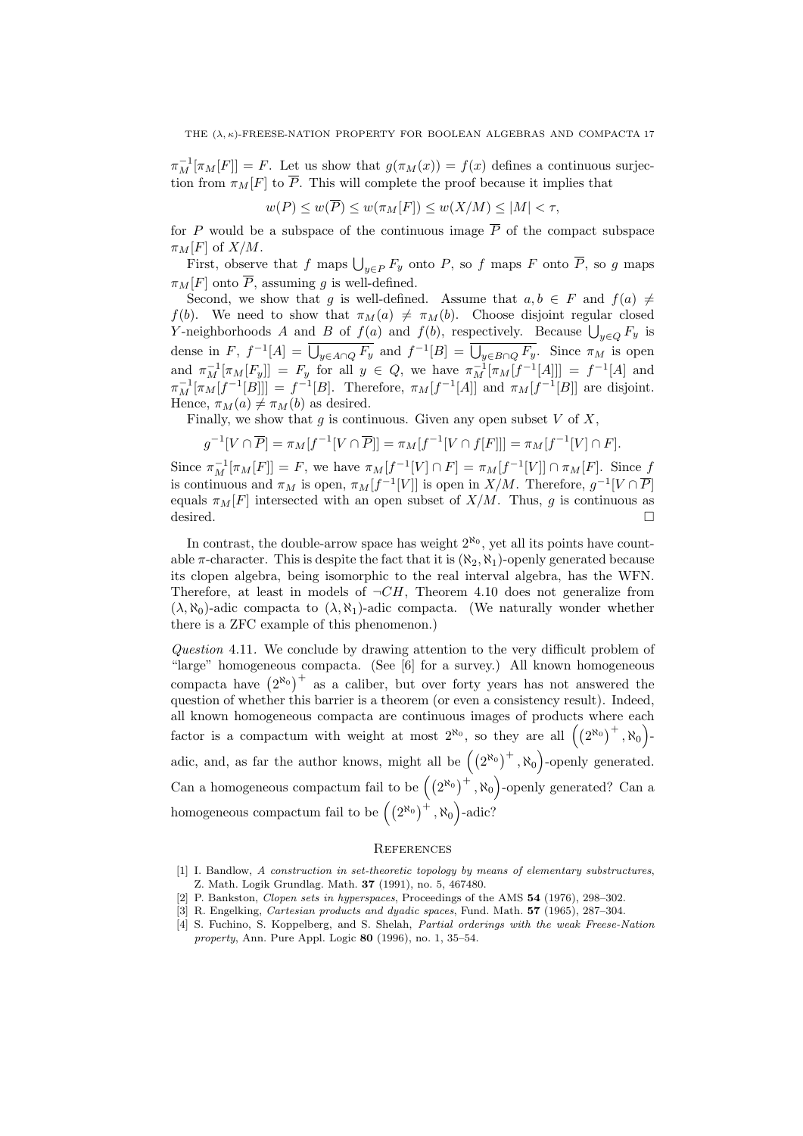$\pi_M^{-1}[\pi_M[F]] = F$ . Let us show that  $g(\pi_M(x)) = f(x)$  defines a continuous surjection from  $\pi_M[F]$  to  $\overline{P}$ . This will complete the proof because it implies that

$$
w(P) \le w(\overline{P}) \le w(\pi_M[F]) \le w(X/M) \le |M| < \tau,
$$

for P would be a subspace of the continuous image  $\overline{P}$  of the compact subspace  $\pi_M[F]$  of  $X/M$ .

First, observe that f maps  $\bigcup_{y\in P} F_y$  onto P, so f maps F onto P, so g maps  $\pi_M[F]$  onto  $\overline{P}$ , assuming g is well-defined.

Second, we show that g is well-defined. Assume that  $a, b \in F$  and  $f(a) \neq$  $f(b)$ . We need to show that  $\pi_M(a) \neq \pi_M(b)$ . Choose disjoint regular closed Y-neighborhoods A and B of  $f(a)$  and  $f(b)$ , respectively. Because  $\bigcup_{y\in Q} F_y$  is dense in F,  $f^{-1}[A] = \overline{\bigcup_{y \in A \cap Q} F_y}$  and  $f^{-1}[B] = \overline{\bigcup_{y \in B \cap Q} F_y}$ . Since  $\pi_M$  is open and  $\pi_M^{-1}[\pi_M[F_y]] = F_y$  for all  $y \in Q$ , we have  $\pi_M^{-1}[\pi_M[f^{-1}[A]]] = f^{-1}[A]$  and  $\pi_M^{-1}[\pi_M[f^{-1}[B]]] = f^{-1}[B]$ . Therefore,  $\pi_M[f^{-1}[A]]$  and  $\pi_M[f^{-1}[B]]$  are disjoint. Hence,  $\pi_M(a) \neq \pi_M(b)$  as desired.

Finally, we show that  $g$  is continuous. Given any open subset  $V$  of  $X$ ,

$$
g^{-1}[V \cap \overline{P}] = \pi_M[f^{-1}[V \cap \overline{P}]] = \pi_M[f^{-1}[V \cap f[F]]] = \pi_M[f^{-1}[V] \cap F].
$$

Since  $\pi_M^{-1}[\pi_M[F]] = F$ , we have  $\pi_M[f^{-1}[V] \cap F] = \pi_M[f^{-1}[V]] \cap \pi_M[F]$ . Since f is continuous and  $\pi_M$  is open,  $\pi_M[f^{-1}[V]]$  is open in  $X/M$ . Therefore,  $g^{-1}[V \cap \overline{P}]$ equals  $\pi_M[F]$  intersected with an open subset of  $X/M$ . Thus, g is continuous as desired. desired.  $\Box$ 

In contrast, the double-arrow space has weight  $2^{\aleph_0}$ , yet all its points have countable  $\pi$ -character. This is despite the fact that it is  $(\aleph_2, \aleph_1)$ -openly generated because its clopen algebra, being isomorphic to the real interval algebra, has the WFN. Therefore, at least in models of  $\neg CH$ , Theorem 4.10 does not generalize from  $(\lambda, \aleph_0)$ -adic compacta to  $(\lambda, \aleph_1)$ -adic compacta. (We naturally wonder whether there is a ZFC example of this phenomenon.)

Question 4.11. We conclude by drawing attention to the very difficult problem of "large" homogeneous compacta. (See [6] for a survey.) All known homogeneous compacta have  $(2^{\aleph_0})^+$  as a caliber, but over forty years has not answered the question of whether this barrier is a theorem (or even a consistency result). Indeed, all known homogeneous compacta are continuous images of products where each factor is a compactum with weight at most  $2^{\aleph_0}$ , so they are all  $((2^{\aleph_0})^+, \aleph_0)$ . adic, and, as far the author knows, might all be  $((2^{\aleph_0})^+$ ,  $\aleph_0)$ -openly generated. Can a homogeneous compactum fail to be  $((2^{\aleph_0})^+, \aleph_0)$ -openly generated? Can a homogeneous compactum fail to be  $((2^{\aleph_0})^+$ ,  $\aleph_0)$ -adic?

## **REFERENCES**

- [1] I. Bandlow, A construction in set-theoretic topology by means of elementary substructures, Z. Math. Logik Grundlag. Math. 37 (1991), no. 5, 467480.
- [2] P. Bankston, Clopen sets in hyperspaces, Proceedings of the AMS 54 (1976), 298–302.
- [3] R. Engelking, Cartesian products and dyadic spaces, Fund. Math. 57 (1965), 287–304.
- [4] S. Fuchino, S. Koppelberg, and S. Shelah, Partial orderings with the weak Freese-Nation property, Ann. Pure Appl. Logic 80 (1996), no. 1, 35–54.